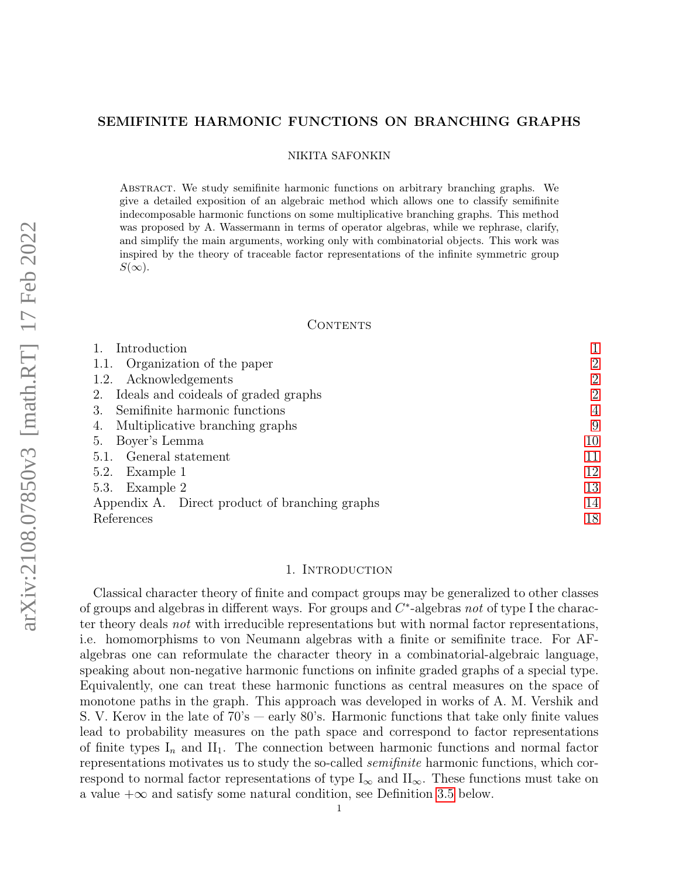# <span id="page-0-1"></span>SEMIFINITE HARMONIC FUNCTIONS ON BRANCHING GRAPHS

### NIKITA SAFONKIN

Abstract. We study semifinite harmonic functions on arbitrary branching graphs. We give a detailed exposition of an algebraic method which allows one to classify semifinite indecomposable harmonic functions on some multiplicative branching graphs. This method was proposed by A. Wassermann in terms of operator algebras, while we rephrase, clarify, and simplify the main arguments, working only with combinatorial objects. This work was inspired by the theory of traceable factor representations of the infinite symmetric group  $S(\infty)$ .

### CONTENTS

| Introduction                                   |                |
|------------------------------------------------|----------------|
| Organization of the paper<br>1.1.              | $\overline{2}$ |
| 1.2. Acknowledgements                          | $\overline{2}$ |
| Ideals and coideals of graded graphs<br>2.     | $\overline{2}$ |
| Semifinite harmonic functions<br>3.            | 4              |
| Multiplicative branching graphs<br>4.          | 9              |
| Boyer's Lemma<br>5.                            | 10             |
| 5.1. General statement                         | 11             |
| 5.2. Example 1                                 | 12             |
| 5.3. Example 2                                 | 13             |
| Appendix A. Direct product of branching graphs | 14             |
| References                                     | 18             |

### 1. INTRODUCTION

<span id="page-0-0"></span>Classical character theory of finite and compact groups may be generalized to other classes of groups and algebras in different ways. For groups and  $C^*$ -algebras not of type I the character theory deals not with irreducible representations but with normal factor representations, i.e. homomorphisms to von Neumann algebras with a finite or semifinite trace. For AFalgebras one can reformulate the character theory in a combinatorial-algebraic language, speaking about non-negative harmonic functions on infinite graded graphs of a special type. Equivalently, one can treat these harmonic functions as central measures on the space of monotone paths in the graph. This approach was developed in works of A. M. Vershik and S. V. Kerov in the late of 70's — early 80's. Harmonic functions that take only finite values lead to probability measures on the path space and correspond to factor representations of finite types  $I_n$  and  $II_1$ . The connection between harmonic functions and normal factor representations motivates us to study the so-called semifinite harmonic functions, which correspond to normal factor representations of type  $I_{\infty}$  and  $II_{\infty}$ . These functions must take on a value  $+\infty$  and satisfy some natural condition, see Definition [3.5](#page-4-0) below.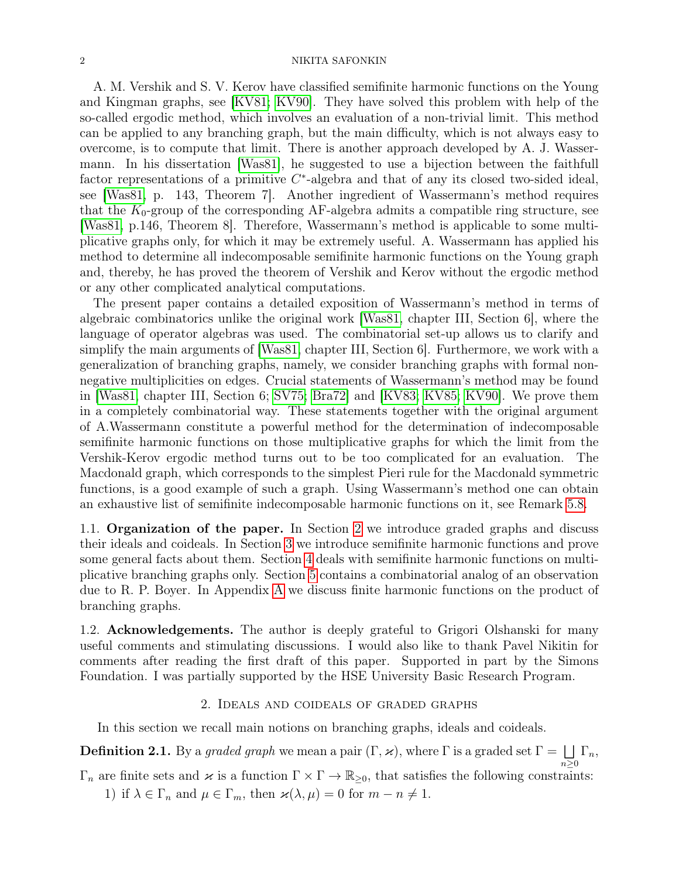A. M. Vershik and S. V. Kerov have classified semifinite harmonic functions on the Young and Kingman graphs, see [\[KV81;](#page-17-1) [KV90\]](#page-18-0). They have solved this problem with help of the so-called ergodic method, which involves an evaluation of a non-trivial limit. This method can be applied to any branching graph, but the main difficulty, which is not always easy to overcome, is to compute that limit. There is another approach developed by A. J. Wassermann. In his dissertation [\[Was81\]](#page-18-1), he suggested to use a bijection between the faithfull factor representations of a primitive  $C^*$ -algebra and that of any its closed two-sided ideal, see [\[Was81,](#page-18-1) p. 143, Theorem 7]. Another ingredient of Wassermann's method requires that the  $K_0$ -group of the corresponding AF-algebra admits a compatible ring structure, see [\[Was81,](#page-18-1) p.146, Theorem 8]. Therefore, Wassermann's method is applicable to some multiplicative graphs only, for which it may be extremely useful. A. Wassermann has applied his method to determine all indecomposable semifinite harmonic functions on the Young graph and, thereby, he has proved the theorem of Vershik and Kerov without the ergodic method or any other complicated analytical computations.

The present paper contains a detailed exposition of Wassermann's method in terms of algebraic combinatorics unlike the original work [\[Was81,](#page-18-1) chapter III, Section 6], where the language of operator algebras was used. The combinatorial set-up allows us to clarify and simplify the main arguments of [\[Was81,](#page-18-1) chapter III, Section 6]. Furthermore, we work with a generalization of branching graphs, namely, we consider branching graphs with formal nonnegative multiplicities on edges. Crucial statements of Wassermann's method may be found in [\[Was81,](#page-18-1) chapter III, Section 6; [SV75;](#page-18-2) [Bra72\]](#page-17-2) and [\[KV83;](#page-18-3) [KV85;](#page-18-4) [KV90\]](#page-18-0). We prove them in a completely combinatorial way. These statements together with the original argument of A.Wassermann constitute a powerful method for the determination of indecomposable semifinite harmonic functions on those multiplicative graphs for which the limit from the Vershik-Kerov ergodic method turns out to be too complicated for an evaluation. The Macdonald graph, which corresponds to the simplest Pieri rule for the Macdonald symmetric functions, is a good example of such a graph. Using Wassermann's method one can obtain an exhaustive list of semifinite indecomposable harmonic functions on it, see Remark [5.8.](#page-13-1)

<span id="page-1-0"></span>1.1. Organization of the paper. In Section [2](#page-1-2) we introduce graded graphs and discuss their ideals and coideals. In Section [3](#page-3-0) we introduce semifinite harmonic functions and prove some general facts about them. Section [4](#page-8-0) deals with semifinite harmonic functions on multiplicative branching graphs only. Section [5](#page-9-0) contains a combinatorial analog of an observation due to R. P. Boyer. In Appendix [A](#page-13-0) we discuss finite harmonic functions on the product of branching graphs.

<span id="page-1-1"></span>1.2. Acknowledgements. The author is deeply grateful to Grigori Olshanski for many useful comments and stimulating discussions. I would also like to thank Pavel Nikitin for comments after reading the first draft of this paper. Supported in part by the Simons Foundation. I was partially supported by the HSE University Basic Research Program.

### 2. Ideals and coideals of graded graphs

<span id="page-1-2"></span>In this section we recall main notions on branching graphs, ideals and coideals.

<span id="page-1-4"></span>**Definition 2.1.** By a graded graph we mean a pair  $(\Gamma, \varkappa)$ , where  $\Gamma$  is a graded set  $\Gamma = \bigsqcup \Gamma_n$ ,  $n\geq 0$ 

<span id="page-1-3"></span> $\Gamma_n$  are finite sets and  $\varkappa$  is a function  $\Gamma \times \Gamma \to \mathbb{R}_{\geq 0}$ , that satisfies the following constraints:

1) if  $\lambda \in \Gamma_n$  and  $\mu \in \Gamma_m$ , then  $\varkappa(\lambda, \mu) = 0$  for  $m - n \neq 1$ .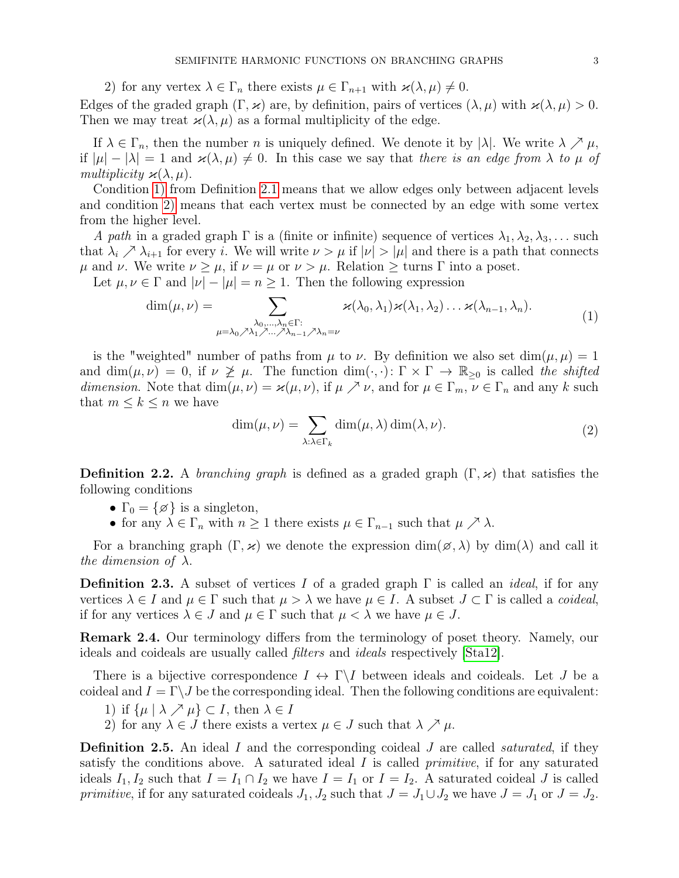2) for any vertex  $\lambda \in \Gamma_n$  there exists  $\mu \in \Gamma_{n+1}$  with  $\varkappa(\lambda, \mu) \neq 0$ .

<span id="page-2-0"></span>Edges of the graded graph  $(\Gamma, \varkappa)$  are, by definition, pairs of vertices  $(\lambda, \mu)$  with  $\varkappa(\lambda, \mu) > 0$ . Then we may treat  $\varkappa(\lambda,\mu)$  as a formal multiplicity of the edge.

If  $\lambda \in \Gamma_n$ , then the number n is uniquely defined. We denote it by  $|\lambda|$ . We write  $\lambda \nearrow \mu$ , if  $|\mu| - |\lambda| = 1$  and  $\varkappa(\lambda, \mu) \neq 0$ . In this case we say that there is an edge from  $\lambda$  to  $\mu$  of multiplicity  $\varkappa(\lambda,\mu)$ .

Condition [1\)](#page-1-3) from Definition [2.1](#page-1-4) means that we allow edges only between adjacent levels and condition [2\)](#page-2-0) means that each vertex must be connected by an edge with some vertex from the higher level.

A path in a graded graph  $\Gamma$  is a (finite or infinite) sequence of vertices  $\lambda_1, \lambda_2, \lambda_3, \ldots$  such that  $\lambda_i \nearrow \lambda_{i+1}$  for every i. We will write  $\nu > \mu$  if  $|\nu| > |\mu|$  and there is a path that connects  $\mu$  and ν. We write  $\nu \geq \mu$ , if  $\nu = \mu$  or  $\nu > \mu$ . Relation  $\geq$  turns Γ into a poset.

Let  $\mu, \nu \in \Gamma$  and  $|\nu| - |\mu| = n > 1$ . Then the following expression

$$
\dim(\mu, \nu) = \sum_{\substack{\lambda_0, \dots, \lambda_n \in \Gamma: \\ \mu = \lambda_0 \nearrow \lambda_1 \nearrow \dots \nearrow \lambda_{n-1} \nearrow \lambda_n = \nu}} \kappa(\lambda_0, \lambda_1) \kappa(\lambda_1, \lambda_2) \dots \kappa(\lambda_{n-1}, \lambda_n).
$$
\n(1)

is the "weighted" number of paths from  $\mu$  to  $\nu$ . By definition we also set dim $(\mu, \mu) = 1$ and  $\dim(\mu, \nu) = 0$ , if  $\nu \not\geq \mu$ . The function  $\dim(\cdot, \cdot) \colon \Gamma \times \Gamma \to \mathbb{R}_{\geq 0}$  is called the shifted dimension. Note that  $\dim(\mu, \nu) = \varkappa(\mu, \nu)$ , if  $\mu \nearrow \nu$ , and for  $\mu \in \Gamma_m$ ,  $\nu \in \Gamma_n$  and any k such that  $m \leq k \leq n$  we have

<span id="page-2-2"></span><span id="page-2-1"></span>
$$
\dim(\mu, \nu) = \sum_{\lambda: \lambda \in \Gamma_k} \dim(\mu, \lambda) \dim(\lambda, \nu).
$$
 (2)

**Definition 2.2.** A *branching graph* is defined as a graded graph  $(\Gamma, \varkappa)$  that satisfies the following conditions

- $\Gamma_0 = \{ \varnothing \}$  is a singleton,
- for any  $\lambda \in \Gamma_n$  with  $n \geq 1$  there exists  $\mu \in \Gamma_{n-1}$  such that  $\mu \nearrow \lambda$ .

For a branching graph  $(\Gamma, \varkappa)$  we denote the expression  $\dim(\mathscr{A}, \lambda)$  by  $\dim(\lambda)$  and call it the dimension of  $\lambda$ .

**Definition 2.3.** A subset of vertices I of a graded graph  $\Gamma$  is called an *ideal*, if for any vertices  $\lambda \in I$  and  $\mu \in \Gamma$  such that  $\mu > \lambda$  we have  $\mu \in I$ . A subset  $J \subset \Gamma$  is called a *coideal*, if for any vertices  $\lambda \in J$  and  $\mu \in \Gamma$  such that  $\mu < \lambda$  we have  $\mu \in J$ .

Remark 2.4. Our terminology differs from the terminology of poset theory. Namely, our ideals and coideals are usually called filters and ideals respectively [\[Sta12\]](#page-18-5).

There is a bijective correspondence  $I \leftrightarrow \Gamma \backslash I$  between ideals and coideals. Let J be a coideal and  $I = \Gamma \backslash J$  be the corresponding ideal. Then the following conditions are equivalent:

- 1) if  $\{\mu \mid \lambda \nearrow \mu\} \subset I$ , then  $\lambda \in I$
- 2) for any  $\lambda \in J$  there exists a vertex  $\mu \in J$  such that  $\lambda \nearrow \mu$ .

**Definition 2.5.** An ideal I and the corresponding coideal J are called *saturated*, if they satisfy the conditions above. A saturated ideal  $I$  is called *primitive*, if for any saturated ideals  $I_1, I_2$  such that  $I = I_1 \cap I_2$  we have  $I = I_1$  or  $I = I_2$ . A saturated coideal J is called primitive, if for any saturated coideals  $J_1, J_2$  such that  $J = J_1 \cup J_2$  we have  $J = J_1$  or  $J = J_2$ .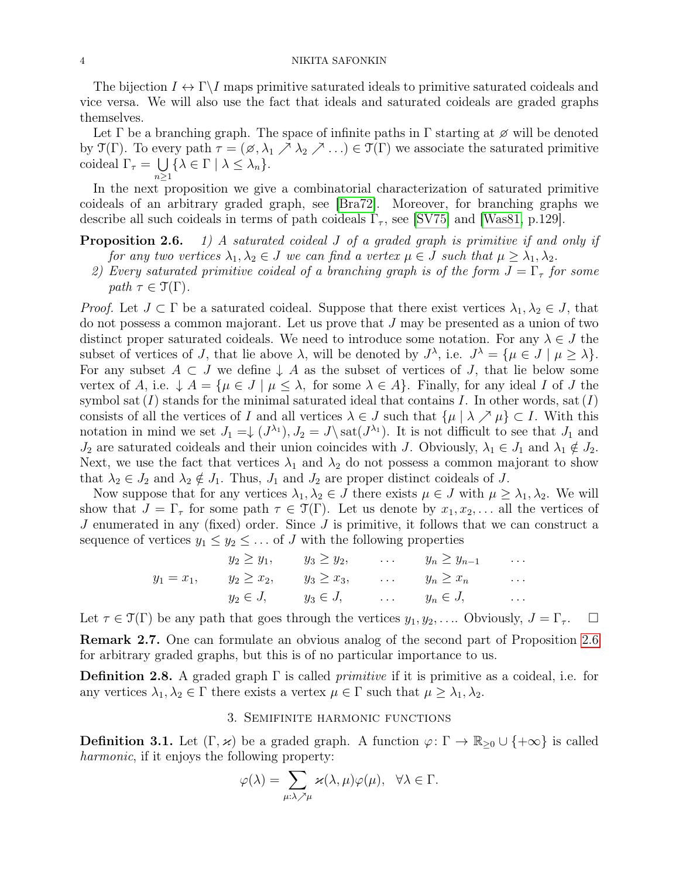The bijection  $I \leftrightarrow \Gamma \backslash I$  maps primitive saturated ideals to primitive saturated coideals and vice versa. We will also use the fact that ideals and saturated coideals are graded graphs themselves.

Let  $\Gamma$  be a branching graph. The space of infinite paths in  $\Gamma$  starting at  $\varnothing$  will be denoted by  $\mathfrak{T}(\Gamma)$ . To every path  $\tau = (\emptyset, \lambda_1 \nearrow \lambda_2 \nearrow ...) \in \mathfrak{T}(\Gamma)$  we associate the saturated primitive coideal  $\Gamma_{\tau} = \bigcup \{ \lambda \in \Gamma \mid \lambda \leq \lambda_n \}.$  $n\geq 1$ 

In the next proposition we give a combinatorial characterization of saturated primitive coideals of an arbitrary graded graph, see [\[Bra72\]](#page-17-2). Moreover, for branching graphs we describe all such coideals in terms of path coideals  $\Gamma_{\tau}$ , see [\[SV75\]](#page-18-2) and [\[Was81,](#page-18-1) p.129].

# **Proposition 2.6.** 1) A saturated coideal J of a graded graph is primitive if and only if

- for any two vertices  $\lambda_1, \lambda_2 \in J$  we can find a vertex  $\mu \in J$  such that  $\mu \geq \lambda_1, \lambda_2$ .
- 2) Every saturated primitive coideal of a branching graph is of the form  $J = \Gamma_{\tau}$  for some path  $\tau \in \mathfrak{T}(\Gamma)$ .

*Proof.* Let  $J \subset \Gamma$  be a saturated coideal. Suppose that there exist vertices  $\lambda_1, \lambda_2 \in J$ , that do not possess a common majorant. Let us prove that J may be presented as a union of two distinct proper saturated coideals. We need to introduce some notation. For any  $\lambda \in J$  the subset of vertices of J, that lie above  $\lambda$ , will be denoted by  $J^{\lambda}$ , i.e.  $J^{\lambda} = {\mu \in J \mid \mu \geq \lambda}.$ For any subset  $A \subset J$  we define  $\downarrow A$  as the subset of vertices of J, that lie below some vertex of A, i.e.  $\downarrow A = {\mu \in J \mid \mu \leq \lambda}$ , for some  $\lambda \in A$ . Finally, for any ideal I of J the symbol sat  $(I)$  stands for the minimal saturated ideal that contains I. In other words, sat  $(I)$ consists of all the vertices of I and all vertices  $\lambda \in J$  such that  $\{\mu \mid \lambda \nearrow \mu\} \subset I$ . With this notation in mind we set  $J_1 = \downarrow (J^{\lambda_1})$ ,  $J_2 = J \setminus \text{sat}(J^{\lambda_1})$ . It is not difficult to see that  $J_1$  and  $J_2$  are saturated coideals and their union coincides with J. Obviously,  $\lambda_1 \in J_1$  and  $\lambda_1 \notin J_2$ . Next, we use the fact that vertices  $\lambda_1$  and  $\lambda_2$  do not possess a common majorant to show that  $\lambda_2 \in J_2$  and  $\lambda_2 \notin J_1$ . Thus,  $J_1$  and  $J_2$  are proper distinct coideals of J.

Now suppose that for any vertices  $\lambda_1, \lambda_2 \in J$  there exists  $\mu \in J$  with  $\mu \geq \lambda_1, \lambda_2$ . We will show that  $J = \Gamma_{\tau}$  for some path  $\tau \in \mathcal{T}(\Gamma)$ . Let us denote by  $x_1, x_2, \ldots$  all the vertices of J enumerated in any (fixed) order. Since  $J$  is primitive, it follows that we can construct a sequence of vertices  $y_1 \leq y_2 \leq \ldots$  of J with the following properties

$$
y_1 = x_1, \qquad y_2 \ge y_1, \qquad y_3 \ge y_2, \qquad \dots \qquad y_n \ge y_{n-1} \qquad \dots
$$

$$
y_1 = x_1, \qquad y_2 \ge x_2, \qquad y_3 \ge x_3, \qquad \dots \qquad y_n \ge x_n \qquad \dots
$$

$$
y_2 \in J, \qquad y_3 \in J, \qquad \dots \qquad y_n \in J, \qquad \dots
$$

Let  $\tau \in \mathfrak{T}(\Gamma)$  be any path that goes through the vertices  $y_1, y_2, \ldots$  Obviously,  $J = \Gamma_{\tau}$ . Remark 2.7. One can formulate an obvious analog of the second part of Proposition [2.6](#page-0-1) for arbitrary graded graphs, but this is of no particular importance to us.

**Definition 2.8.** A graded graph  $\Gamma$  is called *primitive* if it is primitive as a coideal, i.e. for any vertices  $\lambda_1, \lambda_2 \in \Gamma$  there exists a vertex  $\mu \in \Gamma$  such that  $\mu \geq \lambda_1, \lambda_2$ .

# 3. Semifinite harmonic functions

<span id="page-3-1"></span><span id="page-3-0"></span>**Definition 3.1.** Let  $(\Gamma, \varkappa)$  be a graded graph. A function  $\varphi : \Gamma \to \mathbb{R}_{\geq 0} \cup \{+\infty\}$  is called harmonic, if it enjoys the following property:

$$
\varphi(\lambda) = \sum_{\mu:\lambda \nearrow \mu} \varkappa(\lambda, \mu) \varphi(\mu), \quad \forall \lambda \in \Gamma.
$$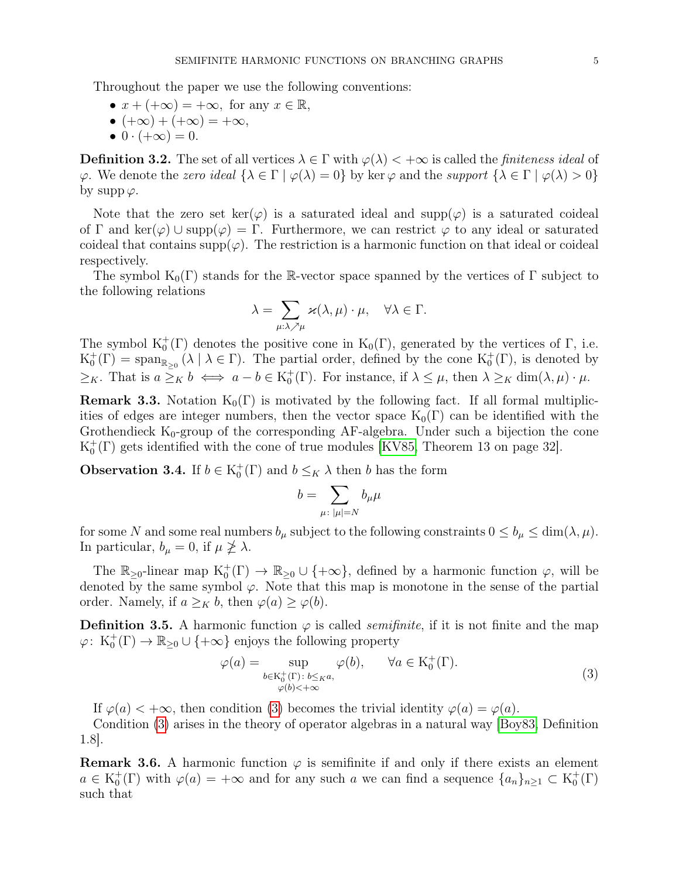Throughout the paper we use the following conventions:

• 
$$
x + (+\infty) = +\infty
$$
, for any  $x \in \mathbb{R}$ ,

- $(+\infty) + (+\infty) = +\infty$ ,
- $0 \cdot (+\infty) = 0.$

**Definition 3.2.** The set of all vertices  $\lambda \in \Gamma$  with  $\varphi(\lambda) < +\infty$  is called the *finiteness ideal* of  $\varphi$ . We denote the *zero ideal*  $\{\lambda \in \Gamma \mid \varphi(\lambda) = 0\}$  by ker  $\varphi$  and the *support*  $\{\lambda \in \Gamma \mid \varphi(\lambda) > 0\}$ by supp  $\varphi$ .

Note that the zero set ker( $\varphi$ ) is a saturated ideal and supp( $\varphi$ ) is a saturated coideal of Γ and  $\ker(\varphi) \cup \operatorname{supp}(\varphi) = \Gamma$ . Furthermore, we can restrict  $\varphi$  to any ideal or saturated coideal that contains supp $(\varphi)$ . The restriction is a harmonic function on that ideal or coideal respectively.

The symbol  $K_0(\Gamma)$  stands for the R-vector space spanned by the vertices of  $\Gamma$  subject to the following relations

$$
\lambda = \sum_{\mu:\lambda \nearrow \mu} \varkappa(\lambda, \mu) \cdot \mu, \quad \forall \lambda \in \Gamma.
$$

The symbol  $K_0^+(\Gamma)$  denotes the positive cone in  $K_0(\Gamma)$ , generated by the vertices of  $\Gamma$ , i.e.  $K_0^+(\Gamma) = \text{span}_{\mathbb{R}_{\geq 0}} (\lambda \mid \lambda \in \Gamma)$ . The partial order, defined by the cone  $K_0^+(\Gamma)$ , is denoted by  $\geq_K$ . That is  $a \geq_K b \iff a - b \in K_0^+(\Gamma)$ . For instance, if  $\lambda \leq \mu$ , then  $\lambda \geq_K \dim(\lambda, \mu) \cdot \mu$ .

**Remark 3.3.** Notation  $K_0(\Gamma)$  is motivated by the following fact. If all formal multiplicities of edges are integer numbers, then the vector space  $K_0(\Gamma)$  can be identified with the Grothendieck  $K_0$ -group of the corresponding AF-algebra. Under such a bijection the cone  $K_0^+(\Gamma)$  gets identified with the cone of true modules [\[KV85,](#page-18-4) Theorem 13 on page 32].

<span id="page-4-2"></span>**Observation 3.4.** If  $b \in K_0^+(\Gamma)$  and  $b \leq_K \lambda$  then b has the form

<span id="page-4-1"></span>
$$
b=\sum_{\mu\colon |\mu|=N} b_\mu \mu
$$

for some N and some real numbers  $b_{\mu}$  subject to the following constraints  $0 \leq b_{\mu} \leq \dim(\lambda, \mu)$ . In particular,  $b_{\mu} = 0$ , if  $\mu \ngeq \lambda$ .

The  $\mathbb{R}_{\geq 0}$ -linear map  $K_0^+(\Gamma) \to \mathbb{R}_{\geq 0} \cup \{+\infty\}$ , defined by a harmonic function  $\varphi$ , will be denoted by the same symbol  $\varphi$ . Note that this map is monotone in the sense of the partial order. Namely, if  $a \geq_K b$ , then  $\varphi(a) \geq \varphi(b)$ .

<span id="page-4-0"></span>**Definition 3.5.** A harmonic function  $\varphi$  is called *semifinite*, if it is not finite and the map  $\varphi: K_0^+(\Gamma) \to \mathbb{R}_{\geq 0} \cup \{+\infty\}$  enjoys the following property

$$
\varphi(a) = \sup_{\substack{b \in \mathrm{K}_0^+(\Gamma) : b \leq \kappa a, \\ \varphi(b) < +\infty}} \varphi(b), \qquad \forall a \in \mathrm{K}_0^+(\Gamma). \tag{3}
$$

If  $\varphi(a) < +\infty$ , then condition [\(3\)](#page-4-1) becomes the trivial identity  $\varphi(a) = \varphi(a)$ .

Condition [\(3\)](#page-4-1) arises in the theory of operator algebras in a natural way [\[Boy83,](#page-17-3) Definition 1.8].

<span id="page-4-3"></span>**Remark 3.6.** A harmonic function  $\varphi$  is semifinite if and only if there exists an element  $a \in K_0^+(\Gamma)$  with  $\varphi(a) = +\infty$  and for any such a we can find a sequence  $\{a_n\}_{n\geq 1} \subset K_0^+(\Gamma)$ such that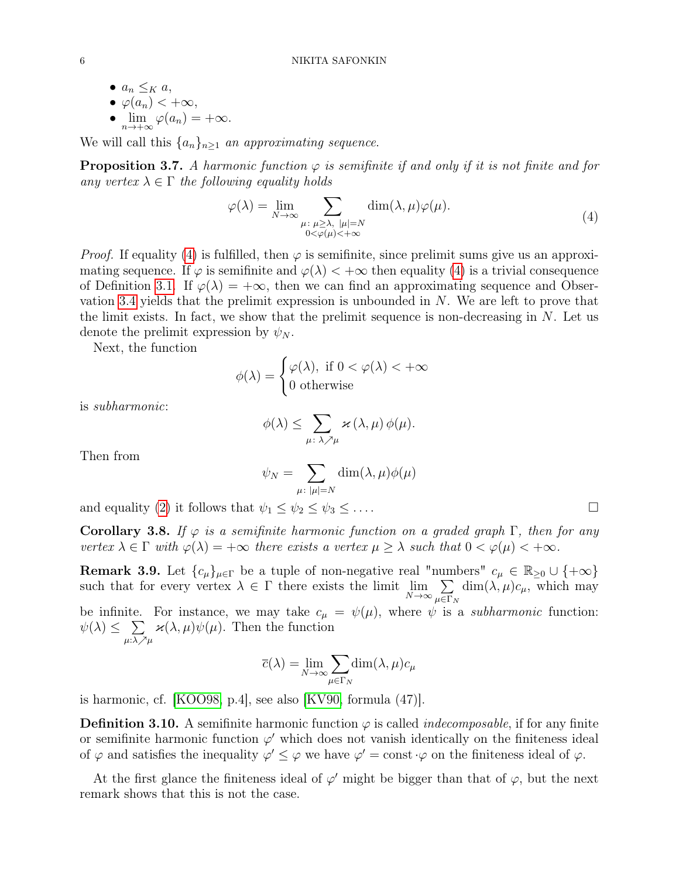•  $a_n \leq_K a$ , •  $\varphi(a_n)$  <  $+\infty$ , •  $\lim_{n \to +\infty} \varphi(a_n) = +\infty.$ 

We will call this  $\{a_n\}_{n\geq 1}$  an approximating sequence.

<span id="page-5-2"></span>**Proposition 3.7.** A harmonic function  $\varphi$  is semifinite if and only if it is not finite and for any vertex  $\lambda \in \Gamma$  the following equality holds

<span id="page-5-0"></span>
$$
\varphi(\lambda) = \lim_{N \to \infty} \sum_{\substack{\mu \colon \mu \ge \lambda, \ |\mu| = N \\ 0 < \varphi(\mu) < +\infty}} \dim(\lambda, \mu) \varphi(\mu). \tag{4}
$$

*Proof.* If equality [\(4\)](#page-5-0) is fulfilled, then  $\varphi$  is semifinite, since prelimit sums give us an approximating sequence. If  $\varphi$  is semifinite and  $\varphi(\lambda) < +\infty$  then equality [\(4\)](#page-5-0) is a trivial consequence of Definition [3.1.](#page-3-1) If  $\varphi(\lambda) = +\infty$ , then we can find an approximating sequence and Observation [3.4](#page-4-2) yields that the prelimit expression is unbounded in N. We are left to prove that the limit exists. In fact, we show that the prelimit sequence is non-decreasing in  $N$ . Let us denote the prelimit expression by  $\psi_N$ .

Next, the function

$$
\phi(\lambda) = \begin{cases} \varphi(\lambda), & \text{if } 0 < \varphi(\lambda) < +\infty \\ 0 & \text{otherwise} \end{cases}
$$

is subharmonic:

$$
\phi(\lambda) \leq \sum_{\mu \colon \lambda \nearrow \mu} \varkappa(\lambda, \mu) \phi(\mu).
$$

Then from

$$
\psi_N = \sum_{\mu \colon |\mu| = N} \dim(\lambda, \mu) \phi(\mu)
$$

and equality [\(2\)](#page-2-1) it follows that  $\psi_1 \leq \psi_2 \leq \psi_3 \leq \ldots$  .

<span id="page-5-3"></span>Corollary 3.8. If  $\varphi$  is a semifinite harmonic function on a graded graph  $\Gamma$ , then for any vertex  $\lambda \in \Gamma$  with  $\varphi(\lambda) = +\infty$  there exists a vertex  $\mu \geq \lambda$  such that  $0 < \varphi(\mu) < +\infty$ .

<span id="page-5-4"></span>**Remark 3.9.** Let  ${c_{\mu}}_{\mu\in\Gamma}$  be a tuple of non-negative real "numbers"  $c_{\mu} \in \mathbb{R}_{\geq 0} \cup \{+\infty\}$ such that for every vertex  $\lambda \in \Gamma$  there exists the limit  $\lim_{N \to \infty} \sum_{n \in \Gamma_N}$  $\mu \in \Gamma_N$  $\dim(\lambda, \mu)c_{\mu}$ , which may be infinite. For instance, we may take  $c_{\mu} = \psi(\mu)$ , where  $\psi$  is a *subharmonic* function:  $\psi(\lambda) \leq \sum$  $\mu$ :λ / $^2\mu$  $\varkappa(\lambda,\mu)\psi(\mu)$ . Then the function

$$
\overline{c}(\lambda) = \lim_{N \to \infty} \sum_{\mu \in \Gamma_N} \dim(\lambda, \mu) c_{\mu}
$$

is harmonic, cf. [\[KOO98,](#page-17-4) p.4], see also [\[KV90,](#page-18-0) formula (47)].

<span id="page-5-1"></span>**Definition 3.10.** A semifinite harmonic function  $\varphi$  is called *indecomposable*, if for any finite or semifinite harmonic function  $\varphi'$  which does not vanish identically on the finiteness ideal of  $\varphi$  and satisfies the inequality  $\varphi' \leq \varphi$  we have  $\varphi' = \text{const} \cdot \varphi$  on the finiteness ideal of  $\varphi$ .

At the first glance the finiteness ideal of  $\varphi'$  might be bigger than that of  $\varphi$ , but the next remark shows that this is not the case.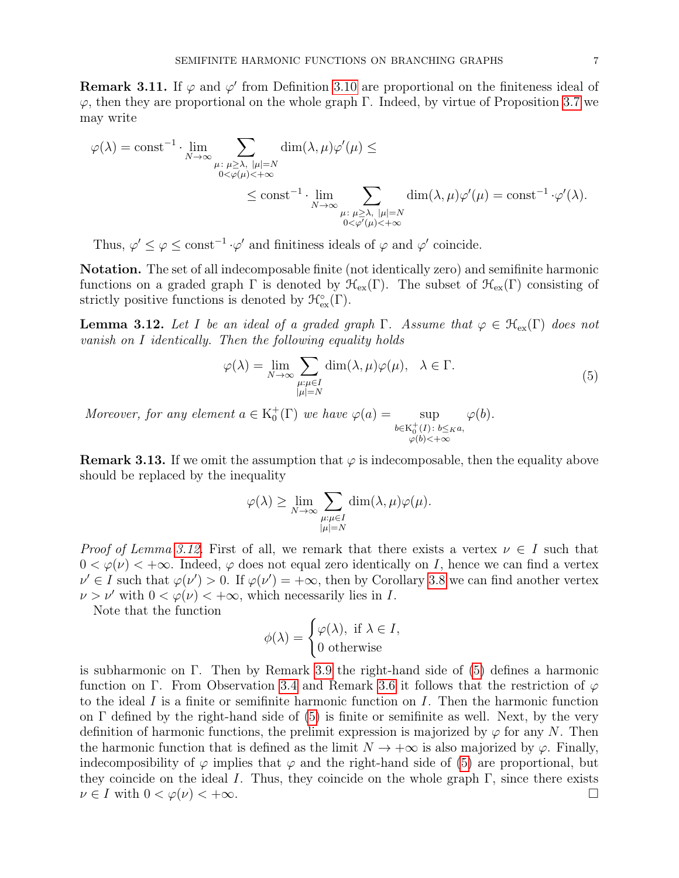**Remark 3.11.** If  $\varphi$  and  $\varphi'$  from Definition [3.10](#page-5-1) are proportional on the finiteness ideal of  $\varphi$ , then they are proportional on the whole graph Γ. Indeed, by virtue of Proposition [3.7](#page-5-2) we may write

$$
\varphi(\lambda) = \text{const}^{-1} \cdot \lim_{N \to \infty} \sum_{\substack{\mu : \ \mu \geq \lambda, \ |\mu| = N \\ 0 < \varphi(\mu) < +\infty}} \dim(\lambda, \mu) \varphi'(\mu) \leq \\ \leq \text{const}^{-1} \cdot \lim_{\substack{N \to \infty \\ \mu : \ \mu \geq \lambda, \ |\mu| = N \\ 0 < \varphi'(\mu) < +\infty}} \dim(\lambda, \mu) \varphi'(\mu) = \text{const}^{-1} \cdot \varphi'(\lambda).
$$

Thus,  $\varphi' \leq \varphi \leq \text{const}^{-1} \cdot \varphi'$  and finitiness ideals of  $\varphi$  and  $\varphi'$  coincide.

Notation. The set of all indecomposable finite (not identically zero) and semifinite harmonic functions on a graded graph  $\Gamma$  is denoted by  $\mathcal{H}_{ex}(\Gamma)$ . The subset of  $\mathcal{H}_{ex}(\Gamma)$  consisting of strictly positive functions is denoted by  $\mathcal{H}^{\circ}_{ex}(\Gamma)$ .

<span id="page-6-0"></span>**Lemma 3.12.** Let I be an ideal of a graded graph  $\Gamma$ . Assume that  $\varphi \in \mathcal{H}_{ex}(\Gamma)$  does not vanish on I identically. Then the following equality holds

<span id="page-6-1"></span>
$$
\varphi(\lambda) = \lim_{N \to \infty} \sum_{\substack{\mu:\mu \in I \\ |\mu| = N}} \dim(\lambda, \mu) \varphi(\mu), \quad \lambda \in \Gamma.
$$
\n(5)

Moreover, for any element  $a \in K_0^+(\Gamma)$  we have  $\varphi(a) = \sup$  $b \in K_0^+(I) : b \leq_K a,$  $\varphi(b)<+\infty$  $\varphi(b).$ 

<span id="page-6-2"></span>**Remark 3.13.** If we omit the assumption that  $\varphi$  is indecomposable, then the equality above should be replaced by the inequality

$$
\varphi(\lambda) \ge \lim_{N \to \infty} \sum_{\substack{\mu:\mu \in I \\ |\mu| = N}} \dim(\lambda, \mu) \varphi(\mu).
$$

*Proof of Lemma [3.12.](#page-6-0)* First of all, we remark that there exists a vertex  $\nu \in I$  such that  $0 < \varphi(\nu) < +\infty$ . Indeed,  $\varphi$  does not equal zero identically on I, hence we can find a vertex  $\nu' \in I$  such that  $\varphi(\nu') > 0$ . If  $\varphi(\nu') = +\infty$ , then by Corollary [3.8](#page-5-3) we can find another vertex  $\nu > \nu'$  with  $0 < \varphi(\nu) < +\infty$ , which necessarily lies in I.

Note that the function

$$
\phi(\lambda) = \begin{cases} \varphi(\lambda), & \text{if } \lambda \in I, \\ 0 & \text{otherwise} \end{cases}
$$

is subharmonic on Γ. Then by Remark [3.9](#page-5-4) the right-hand side of [\(5\)](#page-6-1) defines a harmonic function on Γ. From Observation [3.4](#page-4-2) and Remark [3.6](#page-4-3) it follows that the restriction of  $\varphi$ to the ideal I is a finite or semifinite harmonic function on I. Then the harmonic function on  $\Gamma$  defined by the right-hand side of [\(5\)](#page-6-1) is finite or semifinite as well. Next, by the very definition of harmonic functions, the prelimit expression is majorized by  $\varphi$  for any N. Then the harmonic function that is defined as the limit  $N \to +\infty$  is also majorized by  $\varphi$ . Finally, indecomposibility of  $\varphi$  implies that  $\varphi$  and the right-hand side of [\(5\)](#page-6-1) are proportional, but they coincide on the ideal I. Thus, they coincide on the whole graph  $\Gamma$ , since there exists  $\nu \in I$  with  $0 < \varphi(\nu) < +\infty$ .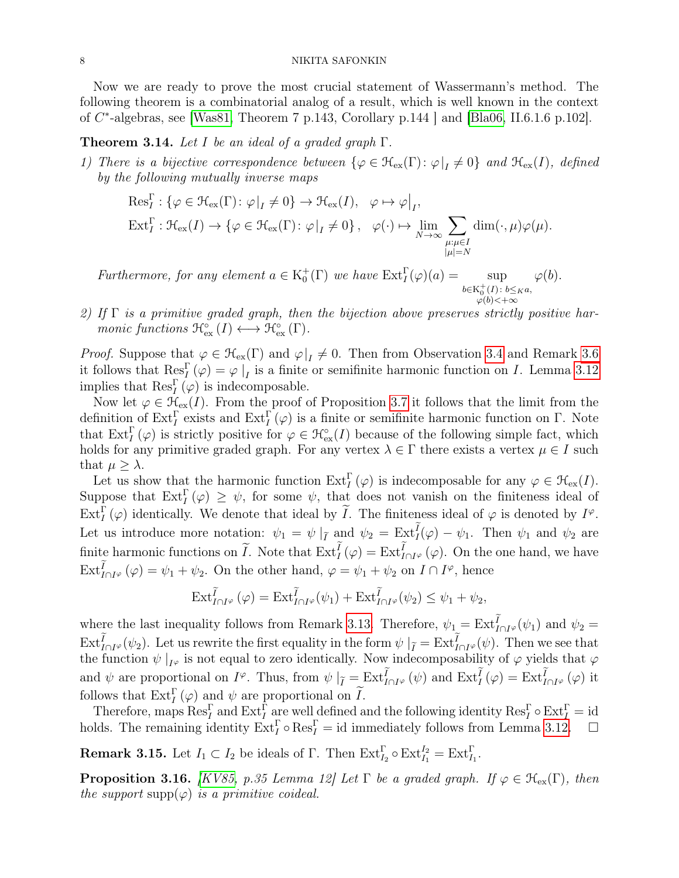Now we are ready to prove the most crucial statement of Wassermann's method. The following theorem is a combinatorial analog of a result, which is well known in the context of C ∗ -algebras, see [\[Was81,](#page-18-1) Theorem 7 p.143, Corollary p.144 ] and [\[Bla06,](#page-17-5) II.6.1.6 p.102].

<span id="page-7-0"></span>**Theorem 3.14.** Let I be an ideal of a graded graph  $\Gamma$ .

1) There is a bijective correspondence between  $\{\varphi \in \mathcal{H}_{ex}(\Gamma) : \varphi|_I \neq 0\}$  and  $\mathcal{H}_{ex}(I)$ , defined by the following mutually inverse maps

$$
\operatorname{Res}_{I}^{\Gamma}: \{\varphi \in \mathcal{H}_{\operatorname{ex}}(\Gamma) : \varphi|_{I} \neq 0\} \to \mathcal{H}_{\operatorname{ex}}(I), \quad \varphi \mapsto \varphi|_{I},
$$
  

$$
\operatorname{Ext}_{I}^{\Gamma}: \mathcal{H}_{\operatorname{ex}}(I) \to \{\varphi \in \mathcal{H}_{\operatorname{ex}}(\Gamma) : \varphi|_{I} \neq 0\}, \quad \varphi(\cdot) \mapsto \lim_{N \to \infty} \sum_{\substack{\mu:\mu \in I \\ |\mu| = N}} \dim(\cdot, \mu)\varphi(\mu).
$$

Furthermore, for any element  $a \in K_0^+(\Gamma)$  we have  $Ext_I^(\varphi)(a) = \text{sup}$ b∈K + 0  $(I): b\leq_K a,$  $\varphi(b)<+\infty$  $\varphi(b)$ .

2) If  $\Gamma$  is a primitive graded graph, then the bijection above preserves strictly positive harmonic functions  $\mathfrak{R}^{\circ}_{\mathrm{ex}}(I) \longleftrightarrow \mathfrak{R}^{\circ}_{\mathrm{ex}}(\Gamma)$ .

*Proof.* Suppose that  $\varphi \in \mathcal{H}_{ex}(\Gamma)$  and  $\varphi|_{I} \neq 0$ . Then from Observation [3.4](#page-4-2) and Remark [3.6](#page-4-3) it follows that  $\text{Res}_{I}^{\Gamma}(\varphi) = \varphi|_{I}$  is a finite or semifinite harmonic function on I. Lemma [3.12](#page-6-0) implies that  $\operatorname{Res}_{I}^{\Gamma}(\varphi)$  is indecomposable.

Now let  $\varphi \in \mathfrak{H}_{\text{ex}}(I)$ . From the proof of Proposition [3.7](#page-5-2) it follows that the limit from the definition of  $\text{Ext}_I^{\Gamma}$  exists and  $\text{Ext}_I^{\Gamma}(\varphi)$  is a finite or semifinite harmonic function on  $\Gamma$ . Note that  $\text{Ext}_{I}^{\Gamma}(\varphi)$  is strictly positive for  $\varphi \in \mathcal{H}_{\text{ex}}^{\circ}(I)$  because of the following simple fact, which holds for any primitive graded graph. For any vertex  $\lambda \in \Gamma$  there exists a vertex  $\mu \in I$  such that  $\mu \geq \lambda$ .

Let us show that the harmonic function  $\text{Ext}_I^{\Gamma}(\varphi)$  is indecomposable for any  $\varphi \in \mathfrak{H}_{\text{ex}}(I)$ . Suppose that  $\text{Ext}^{\Gamma}_{I}(\varphi) \geq \psi$ , for some  $\psi$ , that does not vanish on the finiteness ideal of  $\text{Ext}_{I}^{\Gamma}(\varphi)$  identically. We denote that ideal by  $\widetilde{I}$ . The finiteness ideal of  $\varphi$  is denoted by  $I^{\varphi}$ . Let us introduce more notation:  $\psi_1 = \psi \mid_{\tilde{I}} \text{ and } \psi_2 = \text{Ext}^I_I(\varphi) - \psi_1$ . Then  $\psi_1$  and  $\psi_2$  are finite harmonic functions on  $\widetilde{I}$ . Note that  $\mathrm{Ext}^I_I(\varphi) = \mathrm{Ext}^I_{I \cap I^{\varphi}}(\varphi)$ . On the one hand, we have  $\mathrm{Ext}^I_{I \cap I^{\varphi}}(\varphi) = \psi_1 + \psi_2.$  On the other hand,  $\varphi = \psi_1 + \psi_2$  on  $I \cap I^{\varphi}$ , hence

$$
\mathrm{Ext}^{\widetilde{I}}_{I\cap I^{\varphi}}(\varphi)=\mathrm{Ext}^{\widetilde{I}}_{I\cap I^{\varphi}}(\psi_1)+\mathrm{Ext}^{\widetilde{I}}_{I\cap I^{\varphi}}(\psi_2)\leq \psi_1+\psi_2,
$$

where the last inequality follows from Remark [3.13.](#page-6-2) Therefore,  $\psi_1 = \text{Ext}_{I \cap I}^I(\psi_1)$  and  $\psi_2 =$  $\text{Ext}^I_{I \cap I\varphi}(\psi_2)$ . Let us rewrite the first equality in the form  $\psi|_{\tilde{I}} = \text{Ext}^I_{I \cap I\varphi}(\psi)$ . Then we see that the function  $\psi|_{I^{\varphi}}$  is not equal to zero identically. Now indecomposability of  $\varphi$  yields that  $\varphi$ and  $\psi$  are proportional on  $I^{\varphi}$ . Thus, from  $\psi |_{\tilde{I}} = \text{Ext}_{I \cap I^{\varphi}}^{I}(\psi)$  and  $\text{Ext}_{I}^{I}(\varphi) = \text{Ext}_{I \cap I^{\varphi}}^{I}(\varphi)$  it follows that  $\text{Ext}^{\Gamma}_I(\varphi)$  and  $\psi$  are proportional on  $\tilde{I}$ .

Therefore, maps  $\text{Res}_I^{\Gamma}$  and  $\text{Ext}_I^{\Gamma}$  are well defined and the following identity  $\text{Res}_I^{\Gamma} \circ \text{Ext}_I^{\Gamma} = \text{id}$ holds. The remaining identity  $\text{Ext}_I^{\Gamma} \circ \text{Res}_I^{\Gamma} = \text{id}$  immediately follows from Lemma [3.12.](#page-6-0)  $\Box$ 

**Remark 3.15.** Let  $I_1 \subset I_2$  be ideals of  $\Gamma$ . Then  $\text{Ext}_{I_2}^{\Gamma} \circ \text{Ext}_{I_1}^{\Gamma} = \text{Ext}_{I_1}^{\Gamma}$ .

<span id="page-7-1"></span>**Proposition 3.16.** [\[KV85,](#page-18-4) p.35 Lemma 12] Let  $\Gamma$  be a graded graph. If  $\varphi \in \mathcal{H}_{ex}(\Gamma)$ , then the support supp $(\varphi)$  is a primitive coideal.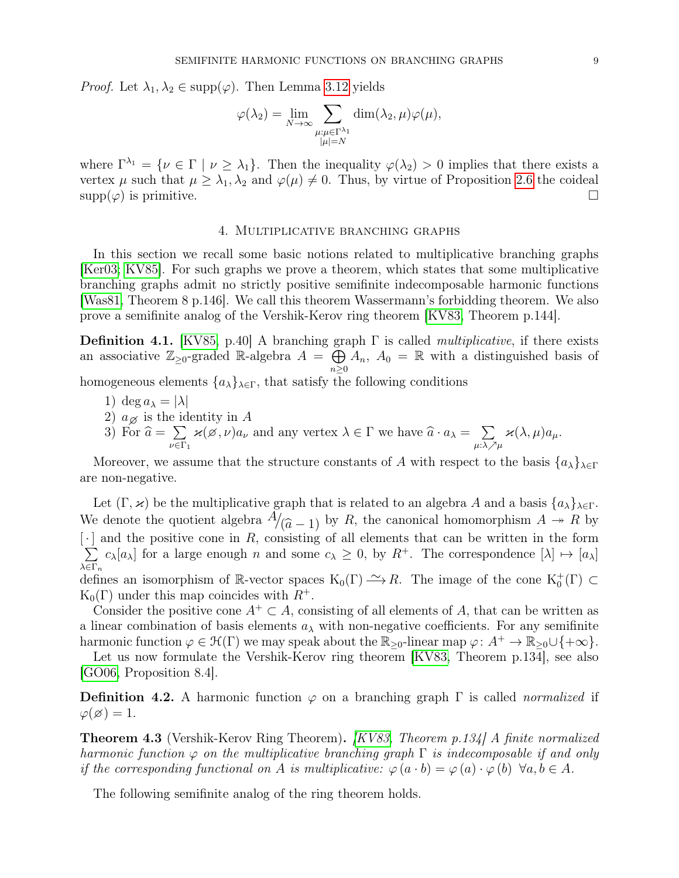*Proof.* Let  $\lambda_1, \lambda_2 \in \text{supp}(\varphi)$ . Then Lemma [3.12](#page-6-0) yields

$$
\varphi(\lambda_2) = \lim_{N \to \infty} \sum_{\substack{\mu:\mu \in \Gamma^{\lambda_1} \\ |\mu| = N}} \dim(\lambda_2, \mu) \varphi(\mu),
$$

where  $\Gamma^{\lambda_1} = \{ \nu \in \Gamma \mid \nu \geq \lambda_1 \}.$  Then the inequality  $\varphi(\lambda_2) > 0$  implies that there exists a vertex  $\mu$  such that  $\mu \geq \lambda_1, \lambda_2$  and  $\varphi(\mu) \neq 0$ . Thus, by virtue of Proposition [2.6](#page-0-1) the coideal  $\text{supp}(\varphi)$  is primitive.

# 4. Multiplicative branching graphs

<span id="page-8-0"></span>In this section we recall some basic notions related to multiplicative branching graphs [\[Ker03;](#page-17-6) [KV85\]](#page-18-4). For such graphs we prove a theorem, which states that some multiplicative branching graphs admit no strictly positive semifinite indecomposable harmonic functions [\[Was81,](#page-18-1) Theorem 8 p.146]. We call this theorem Wassermann's forbidding theorem. We also prove a semifinite analog of the Vershik-Kerov ring theorem [\[KV83,](#page-18-3) Theorem p.144].

<span id="page-8-2"></span>**Definition 4.1.** [\[KV85,](#page-18-4) p.40] A branching graph  $\Gamma$  is called *multiplicative*, if there exists an associative  $\mathbb{Z}_{\geq 0}$ -graded R-algebra  $A = \bigoplus$  $n\geq 0$  $A_n$ ,  $A_0 = \mathbb{R}$  with a distinguished basis of

homogeneous elements  $\{a_{\lambda}\}_{{\lambda}\in\Gamma}$ , that satisfy the following conditions

- 1) deg  $a_{\lambda} = |\lambda|$
- 2)  $a_{\emptyset}$  is the identity in A<br>3) For  $\hat{a} = \sum_{\mathbf{z} \in \mathcal{A}} \mathbf{z}(\mathbf{z}, \mathbf{z}) a$
- 3) For  $\widehat{a} = \sum_{\nu \in \Gamma}$  $\sum_{\nu \in \Gamma_1} \varkappa(\varnothing, \nu) a_{\nu}$  and any vertex  $\lambda \in \Gamma$  we have  $\widehat{a} \cdot a_{\lambda} = \sum_{\mu : \lambda \nearrow \lambda}$ μ:λ $\nearrow$ μ  $\varkappa(\lambda,\mu)a_\mu.$

Moreover, we assume that the structure constants of A with respect to the basis  $\{a_{\lambda}\}_{\lambda\in\Gamma}$ are non-negative.

Let  $(\Gamma, \varkappa)$  be the multiplicative graph that is related to an algebra A and a basis  $\{a_{\lambda}\}_{\lambda \in \Gamma}$ . We denote the quotient algebra  $A/(\hat{a}-1)$  by R, the canonical homomorphism  $A \rightarrow R$  by [.] and the positive cone in R consisting of all elements that can be written in the form  $\lceil \cdot \rceil$  and the positive cone in R, consisting of all elements that can be written in the form  $\cdot$ ] and the positive cone in R, consisting of all elements that can be written in the form  $\sum c_{\lambda} |a_{\lambda}|$  for a large enough n and some  $c_{\lambda} \ge 0$ , by  $R^+$ . The correspondence  $|\lambda| \mapsto |a_{\lambda}|$  $λ$ ∈Γ<sub>n</sub>  $c_{\lambda}[a_{\lambda}]$  for a large enough n and some  $c_{\lambda} \geq 0$ , by  $R^{+}$ . The correspondence  $[\lambda] \mapsto [a_{\lambda}]$ defines an isomorphism of R-vector spaces  $K_0(\Gamma) \longrightarrow R$ . The image of the cone  $K_0^+(\Gamma) \subset$ 

 $K_0(\Gamma)$  under this map coincides with  $R^+$ . Consider the positive cone  $A^+ \subset A$ , consisting of all elements of A, that can be written as

a linear combination of basis elements  $a_{\lambda}$  with non-negative coefficients. For any semifinite harmonic function  $\varphi \in \mathcal{H}(\Gamma)$  we may speak about the  $\mathbb{R}_{\geq 0}$ -linear map  $\varphi: A^+ \to \mathbb{R}_{\geq 0} \cup \{+\infty\}.$ 

Let us now formulate the Vershik-Kerov ring theorem [\[KV83,](#page-18-3) Theorem p.134], see also [\[GO06,](#page-17-7) Proposition 8.4].

**Definition 4.2.** A harmonic function  $\varphi$  on a branching graph  $\Gamma$  is called *normalized* if  $\varphi(\varnothing) = 1.$ 

<span id="page-8-1"></span>Theorem 4.3 (Vershik-Kerov Ring Theorem). [\[KV83,](#page-18-3) Theorem p.134] A finite normalized harmonic function  $\varphi$  on the multiplicative branching graph  $\Gamma$  is indecomposable if and only if the corresponding functional on A is multiplicative:  $\varphi(a \cdot b) = \varphi(a) \cdot \varphi(b) \ \forall a, b \in A$ .

The following semifinite analog of the ring theorem holds.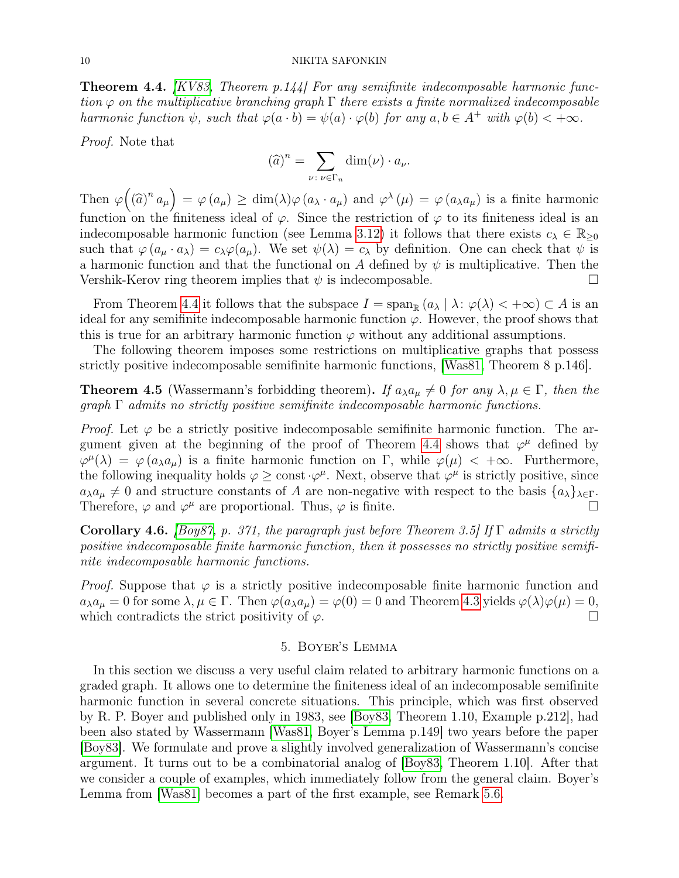<span id="page-9-1"></span>**Theorem 4.4.**  $KVS3$ , Theorem p.144. For any semifinite indecomposable harmonic function  $\varphi$  on the multiplicative branching graph  $\Gamma$  there exists a finite normalized indecomposable harmonic function  $\psi$ , such that  $\varphi(a \cdot b) = \psi(a) \cdot \varphi(b)$  for any  $a, b \in A^+$  with  $\varphi(b) < +\infty$ .

Proof. Note that

$$
(\widehat{a})^n = \sum_{\nu \colon \nu \in \Gamma_n} \dim(\nu) \cdot a_{\nu}.
$$

Then  $\varphi((\widehat{a})^n a_\mu) = \varphi(a_\mu) \ge \dim(\lambda) \varphi(a_\lambda \cdot a_\mu)$  and  $\varphi^\lambda(\mu) = \varphi(a_\lambda a_\mu)$  is a finite harmonic function on the finiteness ideal of  $\varphi$ . Since the restriction of  $\varphi$  to its finiteness ideal is an indecomposable harmonic function (see Lemma [3.12\)](#page-6-0) it follows that there exists  $c_{\lambda} \in \mathbb{R}_{\geq 0}$ such that  $\varphi(a_\mu \cdot a_\lambda) = c_\lambda \varphi(a_\mu)$ . We set  $\psi(\lambda) = c_\lambda$  by definition. One can check that  $\psi$  is a harmonic function and that the functional on A defined by  $\psi$  is multiplicative. Then the Vershik-Kerov ring theorem implies that  $\psi$  is indecomposable.

From Theorem [4.4](#page-9-1) it follows that the subspace  $I = \text{span}_{\mathbb{R}} (a_{\lambda} | \lambda : \varphi(\lambda) < +\infty) \subset A$  is an ideal for any semifinite indecomposable harmonic function  $\varphi$ . However, the proof shows that this is true for an arbitrary harmonic function  $\varphi$  without any additional assumptions.

The following theorem imposes some restrictions on multiplicative graphs that possess strictly positive indecomposable semifinite harmonic functions, [\[Was81,](#page-18-1) Theorem 8 p.146].

<span id="page-9-2"></span>**Theorem 4.5** (Wassermann's forbidding theorem). If  $a_{\lambda}a_{\mu} \neq 0$  for any  $\lambda, \mu \in \Gamma$ , then the  $graph \Gamma$  admits no strictly positive semifinite indecomposable harmonic functions.

*Proof.* Let  $\varphi$  be a strictly positive indecomposable semifinite harmonic function. The ar-gument given at the beginning of the proof of Theorem [4.4](#page-9-1) shows that  $\varphi^{\mu}$  defined by  $\varphi^{\mu}(\lambda) = \varphi(a_{\lambda}a_{\mu})$  is a finite harmonic function on  $\Gamma$ , while  $\varphi(\mu) < +\infty$ . Furthermore, the following inequality holds  $\varphi \geq \text{const} \cdot \varphi^{\mu}$ . Next, observe that  $\varphi^{\mu}$  is strictly positive, since  $a_{\lambda}a_{\mu} \neq 0$  and structure constants of A are non-negative with respect to the basis  $\{a_{\lambda}\}_{\lambda \in \Gamma}$ . Therefore,  $\varphi$  and  $\varphi^{\mu}$  are proportional. Thus,  $\varphi$  is finite.

Corollary 4.6. [\[Boy87,](#page-17-8) p. 371, the paragraph just before Theorem 3.5] If  $\Gamma$  admits a strictly positive indecomposable finite harmonic function, then it possesses no strictly positive semifinite indecomposable harmonic functions.

*Proof.* Suppose that  $\varphi$  is a strictly positive indecomposable finite harmonic function and  $a_{\lambda}a_{\mu}=0$  for some  $\lambda, \mu \in \Gamma$ . Then  $\varphi(a_{\lambda}a_{\mu})=\varphi(0)=0$  and Theorem [4.3](#page-8-1) yields  $\varphi(\lambda)\varphi(\mu)=0$ , which contradicts the strict positivity of  $\varphi$ .

# 5. Boyer's Lemma

<span id="page-9-0"></span>In this section we discuss a very useful claim related to arbitrary harmonic functions on a graded graph. It allows one to determine the finiteness ideal of an indecomposable semifinite harmonic function in several concrete situations. This principle, which was first observed by R. P. Boyer and published only in 1983, see [\[Boy83,](#page-17-3) Theorem 1.10, Example p.212], had been also stated by Wassermann [\[Was81,](#page-18-1) Boyer's Lemma p.149] two years before the paper [\[Boy83\]](#page-17-3). We formulate and prove a slightly involved generalization of Wassermann's concise argument. It turns out to be a combinatorial analog of [\[Boy83,](#page-17-3) Theorem 1.10]. After that we consider a couple of examples, which immediately follow from the general claim. Boyer's Lemma from [\[Was81\]](#page-18-1) becomes a part of the first example, see Remark [5.6.](#page-12-1)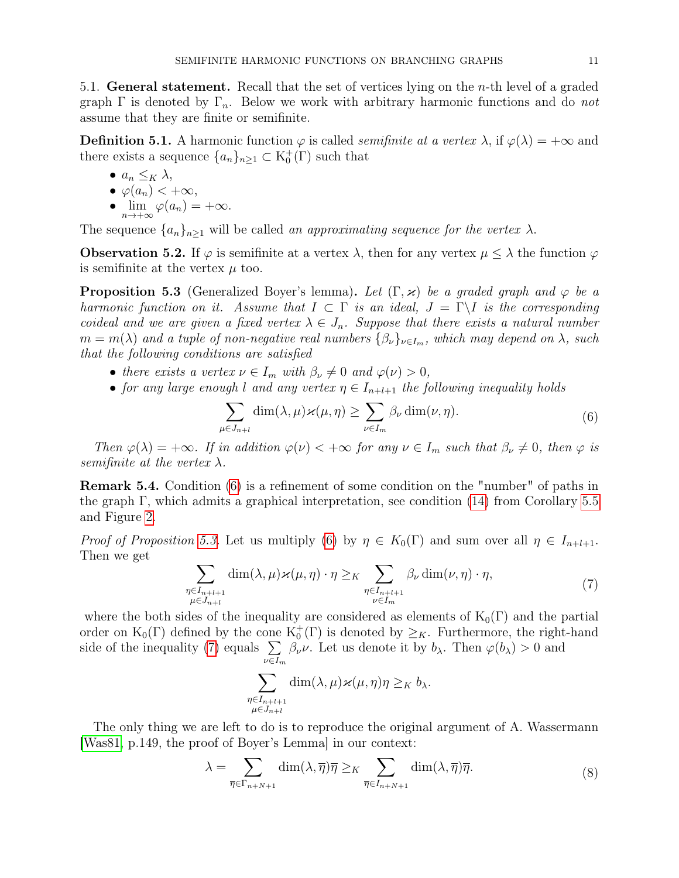<span id="page-10-0"></span>5.1. General statement. Recall that the set of vertices lying on the n-th level of a graded graph  $\Gamma$  is denoted by  $\Gamma_n$ . Below we work with arbitrary harmonic functions and do not assume that they are finite or semifinite.

**Definition 5.1.** A harmonic function  $\varphi$  is called *semifinite at a vertex*  $\lambda$ , if  $\varphi(\lambda) = +\infty$  and there exists a sequence  ${a_n}_{n\geq 1} \subset K_0^+(\Gamma)$  such that

$$
\bullet \ \ a_n \leq_K \lambda,
$$

$$
\bullet \ \varphi(a_n) < +\infty,
$$

•  $\lim_{n \to +\infty} \varphi(a_n) = +\infty.$ 

The sequence  $\{a_n\}_{n\geq 1}$  will be called an approximating sequence for the vertex  $\lambda$ .

**Observation 5.2.** If  $\varphi$  is semifinite at a vertex  $\lambda$ , then for any vertex  $\mu \leq \lambda$  the function  $\varphi$ is semifinite at the vertex  $\mu$  too.

<span id="page-10-2"></span>**Proposition 5.3** (Generalized Boyer's lemma). Let  $(\Gamma, \varkappa)$  be a graded graph and  $\varphi$  be a harmonic function on it. Assume that  $I \subset \Gamma$  is an ideal,  $J = \Gamma \backslash I$  is the corresponding coideal and we are given a fixed vertex  $\lambda \in J_n$ . Suppose that there exists a natural number  $m = m(\lambda)$  and a tuple of non-negative real numbers  $\{\beta_{\nu}\}_{\nu \in I_m}$ , which may depend on  $\lambda$ , such that the following conditions are satisfied

- there exists a vertex  $\nu \in I_m$  with  $\beta_{\nu} \neq 0$  and  $\varphi(\nu) > 0$ ,
- for any large enough l and any vertex  $\eta \in I_{n+l+1}$  the following inequality holds

<span id="page-10-1"></span>
$$
\sum_{\mu \in J_{n+l}} \dim(\lambda, \mu) \varkappa(\mu, \eta) \ge \sum_{\nu \in I_m} \beta_{\nu} \dim(\nu, \eta).
$$
 (6)

Then  $\varphi(\lambda) = +\infty$ . If in addition  $\varphi(\nu) < +\infty$  for any  $\nu \in I_m$  such that  $\beta_{\nu} \neq 0$ , then  $\varphi$  is semifinite at the vertex  $\lambda$ .

Remark 5.4. Condition [\(6\)](#page-10-1) is a refinement of some condition on the "number" of paths in the graph  $\Gamma$ , which admits a graphical interpretation, see condition [\(14\)](#page-11-1) from Corollary [5.5](#page-11-2) and Figure [2.](#page-12-2)

*Proof of Proposition [5.3.](#page-10-2)* Let us multiply [\(6\)](#page-10-1) by  $\eta \in K_0(\Gamma)$  and sum over all  $\eta \in I_{n+l+1}$ . Then we get

$$
\sum_{\substack{\eta \in I_{n+l+1} \\ \mu \in J_{n+l}}} \dim(\lambda, \mu) \varkappa(\mu, \eta) \cdot \eta \geq K \sum_{\substack{\eta \in I_{n+l+1} \\ \nu \in I_m}} \beta_{\nu} \dim(\nu, \eta) \cdot \eta,
$$
\n(7)

where the both sides of the inequality are considered as elements of  $K_0(\Gamma)$  and the partial order on  $K_0(\Gamma)$  defined by the cone  $K_0^+(\Gamma)$  is denoted by  $\geq_K$ . Furthermore, the right-hand side of the inequality [\(7\)](#page-10-3) equals  $\Sigma$  $\nu \in I_m$  $\beta_{\nu}\nu$ . Let us denote it by  $b_{\lambda}$ . Then  $\varphi(b_{\lambda}) > 0$  and

<span id="page-10-4"></span><span id="page-10-3"></span>
$$
\sum_{\substack{\eta \in I_{n+l+1} \\ \mu \in J_{n+l}}} \dim(\lambda, \mu) \varkappa(\mu, \eta) \eta \geq_K b_{\lambda}.
$$

The only thing we are left to do is to reproduce the original argument of A. Wassermann [\[Was81,](#page-18-1) p.149, the proof of Boyer's Lemma] in our context:

$$
\lambda = \sum_{\overline{\eta} \in \Gamma_{n+N+1}} \dim(\lambda, \overline{\eta}) \overline{\eta} \geq K \sum_{\overline{\eta} \in I_{n+N+1}} \dim(\lambda, \overline{\eta}) \overline{\eta}.
$$
 (8)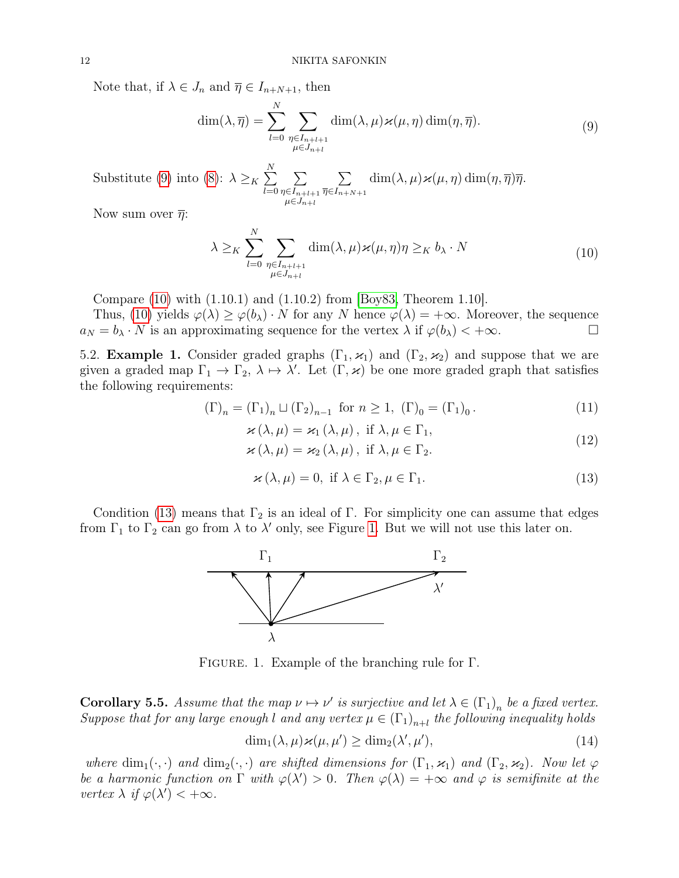Note that, if  $\lambda \in J_n$  and  $\overline{\eta} \in I_{n+N+1}$ , then

<span id="page-11-3"></span>
$$
\dim(\lambda, \overline{\eta}) = \sum_{l=0}^{N} \sum_{\substack{\eta \in I_{n+l+1} \\ \mu \in J_{n+l}}} \dim(\lambda, \mu) \varkappa(\mu, \eta) \dim(\eta, \overline{\eta}). \tag{9}
$$

Substitute [\(9\)](#page-11-3) into [\(8\)](#page-10-4):  $\lambda \geq_K \sum_{n=1}^{N}$  $_{l=0}$  $\sum$  $\eta \in I_{n+l+1}$  $\mu \in J_{n+l}$  $\sum$  $\overline{\eta} \in I_{n+N+1}$  $\dim(\lambda, \mu) \varkappa(\mu, \eta) \dim(\eta, \overline{\eta}) \overline{\eta}.$ 

Now sum over  $\bar{\eta}$ :

<span id="page-11-4"></span>
$$
\lambda \geq K \sum_{l=0}^{N} \sum_{\substack{\eta \in I_{n+l+1} \\ \mu \in J_{n+l}}} \dim(\lambda, \mu) \varkappa(\mu, \eta) \eta \geq K b_{\lambda} \cdot N \tag{10}
$$

Compare [\(10\)](#page-11-4) with (1.10.1) and (1.10.2) from [\[Boy83,](#page-17-3) Theorem 1.10].

Thus, [\(10\)](#page-11-4) yields  $\varphi(\lambda) \geq \varphi(b_\lambda) \cdot N$  for any N hence  $\varphi(\lambda) = +\infty$ . Moreover, the sequence  $a_N = b_\lambda \cdot N$  is an approximating sequence for the vertex  $\lambda$  if  $\varphi(b_\lambda) < +\infty$ .

<span id="page-11-0"></span>5.2. **Example 1.** Consider graded graphs  $(\Gamma_1, \varkappa_1)$  and  $(\Gamma_2, \varkappa_2)$  and suppose that we are given a graded map  $\Gamma_1 \to \Gamma_2$ ,  $\lambda \mapsto \lambda'$ . Let  $(\Gamma, \varkappa)$  be one more graded graph that satisfies the following requirements:

$$
(\Gamma)_n = (\Gamma_1)_n \sqcup (\Gamma_2)_{n-1} \text{ for } n \ge 1, (\Gamma)_0 = (\Gamma_1)_0.
$$
\n
$$
(11)
$$

<span id="page-11-7"></span>
$$
\mathcal{Z}(\lambda, \mu) = \mathcal{Z}_1(\lambda, \mu), \text{ if } \lambda, \mu \in \Gamma_1,
$$
\n(12)

$$
\varkappa(\lambda,\mu) = \varkappa_2(\lambda,\mu), \text{ if } \lambda,\mu \in \Gamma_2. \tag{12}
$$

<span id="page-11-5"></span>
$$
\varkappa(\lambda,\mu) = 0, \text{ if } \lambda \in \Gamma_2, \mu \in \Gamma_1. \tag{13}
$$

<span id="page-11-6"></span>Condition [\(13\)](#page-11-5) means that  $\Gamma_2$  is an ideal of Γ. For simplicity one can assume that edges from  $\Gamma_1$  to  $\Gamma_2$  can go from  $\lambda$  to  $\lambda'$  only, see Figure [1.](#page-11-6) But we will not use this later on.



Figure. 1. Example of the branching rule for Γ.

<span id="page-11-2"></span>**Corollary 5.5.** Assume that the map  $\nu \mapsto \nu'$  is surjective and let  $\lambda \in (\Gamma_1)_n$  be a fixed vertex. Suppose that for any large enough l and any vertex  $\mu \in (\Gamma_1)_{n+l}$  the following inequality holds

<span id="page-11-1"></span>
$$
\dim_1(\lambda, \mu) \varkappa(\mu, \mu') \ge \dim_2(\lambda', \mu'), \tag{14}
$$

where  $\dim_1(\cdot, \cdot)$  and  $\dim_2(\cdot, \cdot)$  are shifted dimensions for  $(\Gamma_1, \varkappa_1)$  and  $(\Gamma_2, \varkappa_2)$ . Now let  $\varphi$ be a harmonic function on  $\Gamma$  with  $\varphi(\lambda') > 0$ . Then  $\varphi(\lambda) = +\infty$  and  $\varphi$  is semifinite at the vertex  $\lambda$  if  $\varphi(\lambda') < +\infty$ .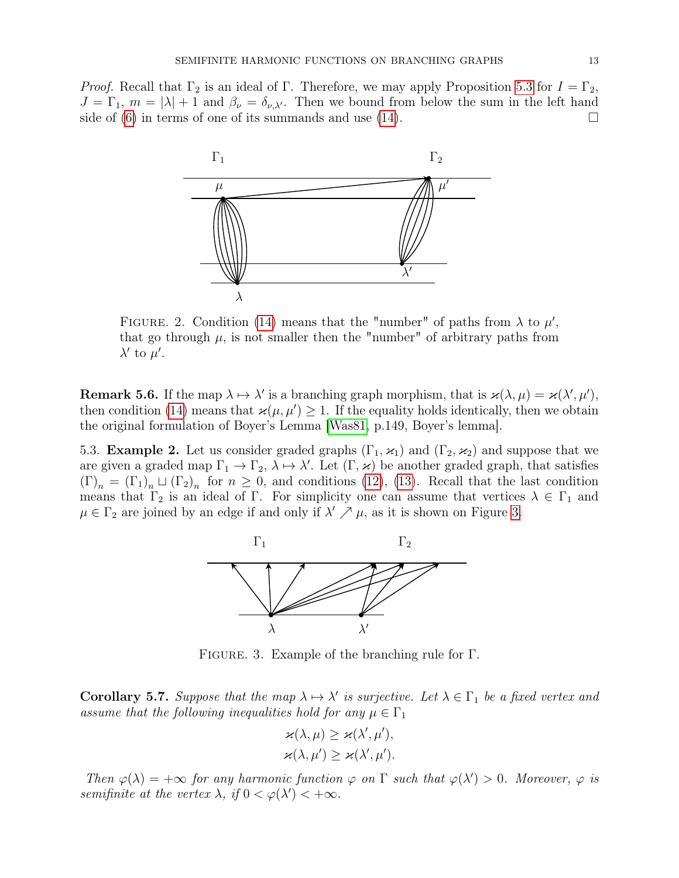<span id="page-12-2"></span>*Proof.* Recall that  $\Gamma_2$  is an ideal of  $\Gamma$ . Therefore, we may apply Proposition [5.3](#page-10-2) for  $I = \Gamma_2$ ,  $J = \Gamma_1$ ,  $m = |\lambda| + 1$  and  $\beta_{\nu} = \delta_{\nu,\lambda'}$ . Then we bound from below the sum in the left hand side of [\(6\)](#page-10-1) in terms of one of its summands and use [\(14\)](#page-11-1).



FIGURE. 2. Condition [\(14\)](#page-11-1) means that the "number" of paths from  $\lambda$  to  $\mu'$ , that go through  $\mu$ , is not smaller then the "number" of arbitrary paths from  $\lambda'$  to  $\mu'$ .

<span id="page-12-1"></span>**Remark 5.6.** If the map  $\lambda \mapsto \lambda'$  is a branching graph morphism, that is  $\varkappa(\lambda, \mu) = \varkappa(\lambda', \mu'),$ then condition [\(14\)](#page-11-1) means that  $\varkappa(\mu, \mu') \geq 1$ . If the equality holds identically, then we obtain the original formulation of Boyer's Lemma [\[Was81,](#page-18-1) p.149, Boyer's lemma].

<span id="page-12-3"></span><span id="page-12-0"></span>5.3. **Example 2.** Let us consider graded graphs  $(\Gamma_1, \varkappa_1)$  and  $(\Gamma_2, \varkappa_2)$  and suppose that we are given a graded map  $\Gamma_1 \to \Gamma_2$ ,  $\lambda \to \lambda'$ . Let  $(\Gamma, \varkappa)$  be another graded graph, that satisfies  $(\Gamma)_n = (\Gamma_1)_n \sqcup (\Gamma_2)_n$  for  $n \geq 0$ , and conditions [\(12\)](#page-11-7), [\(13\)](#page-11-5). Recall that the last condition means that  $\Gamma_2$  is an ideal of  $\Gamma$ . For simplicity one can assume that vertices  $\lambda \in \Gamma_1$  and  $\mu \in \Gamma_2$  are joined by an edge if and only if  $\lambda' \nearrow \mu$ , as it is shown on Figure [3.](#page-12-3)



Figure. 3. Example of the branching rule for Γ.

**Corollary 5.7.** Suppose that the map  $\lambda \mapsto \lambda'$  is surjective. Let  $\lambda \in \Gamma_1$  be a fixed vertex and assume that the following inequalities hold for any  $\mu \in \Gamma_1$ 

$$
\varkappa(\lambda,\mu) \geq \varkappa(\lambda',\mu'),
$$
  

$$
\varkappa(\lambda,\mu') \geq \varkappa(\lambda',\mu').
$$

Then  $\varphi(\lambda) = +\infty$  for any harmonic function  $\varphi$  on  $\Gamma$  such that  $\varphi(\lambda') > 0$ . Moreover,  $\varphi$  is semifinite at the vertex  $\lambda$ , if  $0 < \varphi(\lambda') < +\infty$ .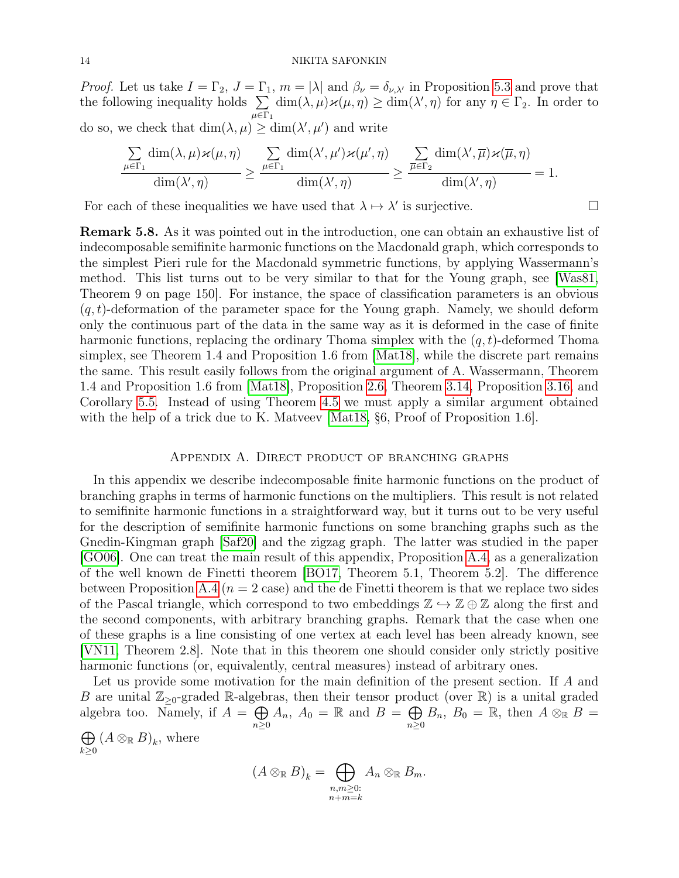*Proof.* Let us take  $I = \Gamma_2$ ,  $J = \Gamma_1$ ,  $m = |\lambda|$  and  $\beta_{\nu} = \delta_{\nu,\lambda'}$  in Proposition [5.3](#page-10-2) and prove that the following inequality holds  $\Sigma$  $μ ∈ Γ<sub>1</sub>$  $\dim(\lambda, \mu) \varkappa(\mu, \eta) \ge \dim(\lambda', \eta)$  for any  $\eta \in \Gamma_2$ . In order to do so, we check that  $\dim(\lambda, \mu) \geq \dim(\lambda', \mu')$  and write

$$
\frac{\sum\limits_{\mu\in\Gamma_1}\dim(\lambda,\mu)\varkappa(\mu,\eta)}{\dim(\lambda',\eta)}\geq\frac{\sum\limits_{\mu\in\Gamma_1}\dim(\lambda',\mu')\varkappa(\mu',\eta)}{\dim(\lambda',\eta)}\geq\frac{\sum\limits_{\overline{\mu}\in\Gamma_2}\dim(\lambda',\overline{\mu})\varkappa(\overline{\mu},\eta)}{\dim(\lambda',\eta)}=1.
$$

For each of these inequalities we have used that  $\lambda \mapsto \lambda'$  is surjective.

<span id="page-13-1"></span>Remark 5.8. As it was pointed out in the introduction, one can obtain an exhaustive list of indecomposable semifinite harmonic functions on the Macdonald graph, which corresponds to the simplest Pieri rule for the Macdonald symmetric functions, by applying Wassermann's method. This list turns out to be very similar to that for the Young graph, see [\[Was81,](#page-18-1) Theorem 9 on page 150]. For instance, the space of classification parameters is an obvious  $(q, t)$ -deformation of the parameter space for the Young graph. Namely, we should deform only the continuous part of the data in the same way as it is deformed in the case of finite harmonic functions, replacing the ordinary Thoma simplex with the  $(q, t)$ -deformed Thoma simplex, see Theorem 1.4 and Proposition 1.6 from [\[Mat18\]](#page-18-6), while the discrete part remains the same. This result easily follows from the original argument of A. Wassermann, Theorem 1.4 and Proposition 1.6 from [\[Mat18\]](#page-18-6), Proposition [2.6,](#page-0-1) Theorem [3.14,](#page-7-0) Proposition [3.16,](#page-7-1) and Corollary [5.5.](#page-11-2) Instead of using Theorem [4.5](#page-9-2) we must apply a similar argument obtained with the help of a trick due to K. Matveev | Mat18, §6, Proof of Proposition 1.6.

# Appendix A. Direct product of branching graphs

<span id="page-13-0"></span>In this appendix we describe indecomposable finite harmonic functions on the product of branching graphs in terms of harmonic functions on the multipliers. This result is not related to semifinite harmonic functions in a straightforward way, but it turns out to be very useful for the description of semifinite harmonic functions on some branching graphs such as the Gnedin-Kingman graph [\[Saf20\]](#page-18-7) and the zigzag graph. The latter was studied in the paper [\[GO06\]](#page-17-7). One can treat the main result of this appendix, Proposition [A.4,](#page-15-0) as a generalization of the well known de Finetti theorem [\[BO17,](#page-17-9) Theorem 5.1, Theorem 5.2]. The difference between Proposition [A.4](#page-15-0) ( $n = 2$  case) and the de Finetti theorem is that we replace two sides of the Pascal triangle, which correspond to two embeddings  $\mathbb{Z} \hookrightarrow \mathbb{Z} \oplus \mathbb{Z}$  along the first and the second components, with arbitrary branching graphs. Remark that the case when one of these graphs is a line consisting of one vertex at each level has been already known, see [\[VN11,](#page-18-8) Theorem 2.8]. Note that in this theorem one should consider only strictly positive harmonic functions (or, equivalently, central measures) instead of arbitrary ones.

Let us provide some motivation for the main definition of the present section. If A and B are unital  $\mathbb{Z}_{\geq 0}$ -graded R-algebras, then their tensor product (over R) is a unital graded algebra too. Namely, if  $A = \bigoplus$  $n\geq 0$  $A_n$ ,  $A_0 = \mathbb{R}$  and  $B = \bigoplus$  $n\geq 0$  $B_n$ ,  $B_0 = \mathbb{R}$ , then  $A \otimes_{\mathbb{R}} B =$  $\oplus$  $k\geq 0$  $(A \otimes_{\mathbb{R}} B)_k$ , where

$$
(A \otimes_{\mathbb{R}} B)_k = \bigoplus_{\substack{n,m \geq 0:\\n+m=k}} A_n \otimes_{\mathbb{R}} B_m.
$$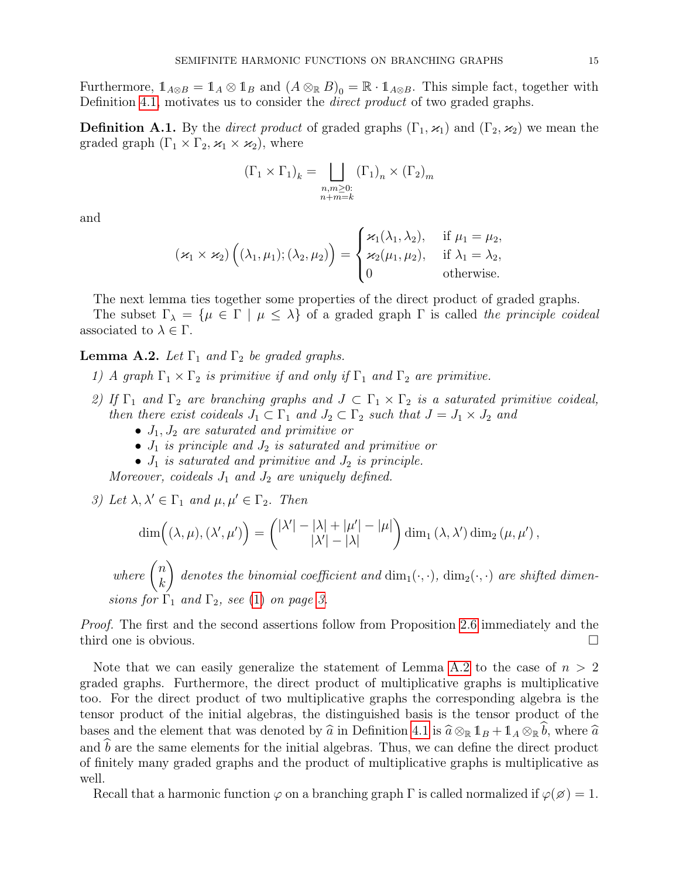Furthermore,  $1_{A\otimes B} = 1_A \otimes 1_B$  and  $(A \otimes_{\mathbb{R}} B)_0 = \mathbb{R} \cdot 1_{A\otimes B}$ . This simple fact, together with Definition [4.1,](#page-8-2) motivates us to consider the *direct product* of two graded graphs.

**Definition A.1.** By the *direct product* of graded graphs  $(\Gamma_1, \varkappa_1)$  and  $(\Gamma_2, \varkappa_2)$  we mean the graded graph  $(\Gamma_1 \times \Gamma_2, \varkappa_1 \times \varkappa_2)$ , where

$$
(\Gamma_1 \times \Gamma_1)_k = \bigsqcup_{\substack{n,m \geq 0:\\n+m=k}} (\Gamma_1)_n \times (\Gamma_2)_m
$$

and

$$
(\varkappa_1 \times \varkappa_2) \left( (\lambda_1, \mu_1); (\lambda_2, \mu_2) \right) = \begin{cases} \varkappa_1(\lambda_1, \lambda_2), & \text{if } \mu_1 = \mu_2, \\ \varkappa_2(\mu_1, \mu_2), & \text{if } \lambda_1 = \lambda_2, \\ 0 & \text{otherwise.} \end{cases}
$$

The next lemma ties together some properties of the direct product of graded graphs.

The subset  $\Gamma_{\lambda} = {\mu \in \Gamma \mid \mu \leq \lambda}$  of a graded graph  $\Gamma$  is called the principle coideal associated to  $\lambda \in \Gamma$ .

# <span id="page-14-0"></span>**Lemma A.2.** Let  $\Gamma_1$  and  $\Gamma_2$  be graded graphs.

- 1) A graph  $\Gamma_1 \times \Gamma_2$  is primitive if and only if  $\Gamma_1$  and  $\Gamma_2$  are primitive.
- 2) If  $\Gamma_1$  and  $\Gamma_2$  are branching graphs and  $J \subset \Gamma_1 \times \Gamma_2$  is a saturated primitive coideal, then there exist coideals  $J_1 \subset \Gamma_1$  and  $J_2 \subset \Gamma_2$  such that  $J = J_1 \times J_2$  and
	- $J_1, J_2$  are saturated and primitive or
	- $J_1$  is principle and  $J_2$  is saturated and primitive or
	- $J_1$  is saturated and primitive and  $J_2$  is principle.

Moreover, coideals  $J_1$  and  $J_2$  are uniquely defined.

3) Let 
$$
\lambda, \lambda' \in \Gamma_1
$$
 and  $\mu, \mu' \in \Gamma_2$ . Then  
\n
$$
\dim((\lambda, \mu), (\lambda', \mu')) = \binom{|\lambda'| - |\lambda| + |\mu'| - |\mu|}{|\lambda'| - |\lambda|} \dim_1(\lambda, \lambda') \dim_2(\mu, \mu'),
$$
\nwhere  $\binom{n}{k}$  denotes the binomial coefficient and  $\dim_1(\cdot, \cdot)$ ,  $\dim_2(\cdot, \cdot)$  are shifted dimensions for  $\Gamma_1$  and  $\Gamma_2$ , see (1) on page 3.

Proof. The first and the second assertions follow from Proposition [2.6](#page-0-1) immediately and the third one is obvious.

Note that we can easily generalize the statement of Lemma [A.2](#page-14-0) to the case of  $n > 2$ graded graphs. Furthermore, the direct product of multiplicative graphs is multiplicative too. For the direct product of two multiplicative graphs the corresponding algebra is the tensor product of the initial algebras, the distinguished basis is the tensor product of the bases and the element that was denoted by  $\hat{a}$  in Definition [4.1](#page-8-2) is  $\hat{a} \otimes_{\mathbb{R}} 1_B + 1_A \otimes_{\mathbb{R}} \hat{b}$ , where  $\hat{a}$ <br>and  $\hat{b}$  are the same elements for the initial also head. Thus, we see define the direct pro and  $\hat{b}$  are the same elements for the initial algebras. Thus, we can define the direct product of finitely many graded graphs and the product of multiplicative graphs is multiplicative as well.

Recall that a harmonic function  $\varphi$  on a branching graph  $\Gamma$  is called normalized if  $\varphi(\emptyset) = 1$ .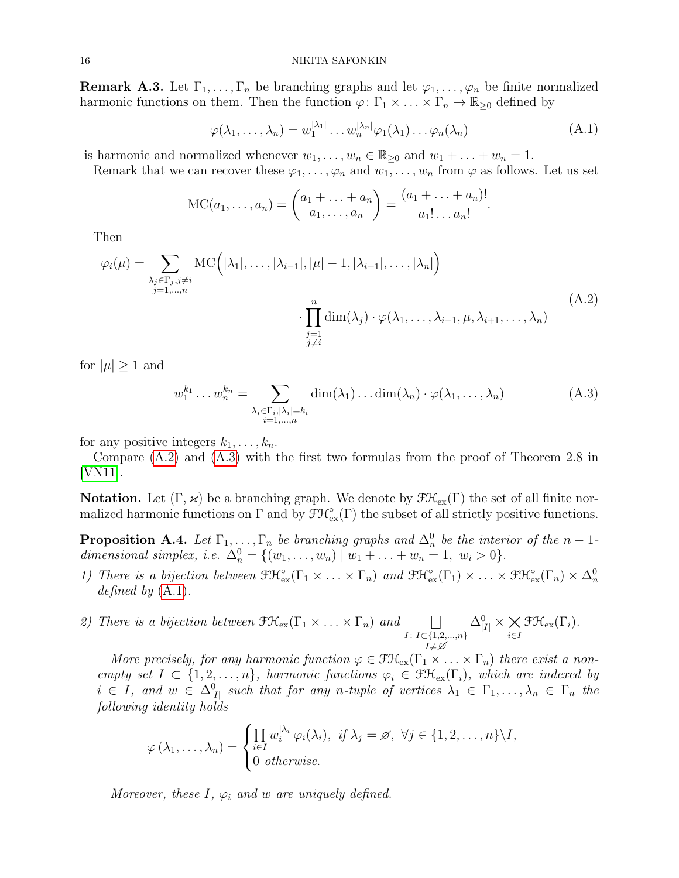**Remark A.3.** Let  $\Gamma_1, \ldots, \Gamma_n$  be branching graphs and let  $\varphi_1, \ldots, \varphi_n$  be finite normalized harmonic functions on them. Then the function  $\varphi: \Gamma_1 \times \ldots \times \Gamma_n \to \mathbb{R}_{\geq 0}$  defined by

<span id="page-15-3"></span>
$$
\varphi(\lambda_1, \dots, \lambda_n) = w_1^{|\lambda_1|} \dots w_n^{|\lambda_n|} \varphi_1(\lambda_1) \dots \varphi_n(\lambda_n)
$$
\n(A.1)

is harmonic and normalized whenever  $w_1, \ldots, w_n \in \mathbb{R}_{\geq 0}$  and  $w_1 + \ldots + w_n = 1$ .

Remark that we can recover these  $\varphi_1, \ldots, \varphi_n$  and  $w_1, \ldots, w_n$  from  $\varphi$  as follows. Let us set

<span id="page-15-1"></span>
$$
MC(a_1,..., a_n) = {a_1 + ... + a_n \choose a_1,..., a_n} = \frac{(a_1 + ... + a_n)!}{a_1! ... a_n!}.
$$

Then

$$
\varphi_i(\mu) = \sum_{\substack{\lambda_j \in \Gamma_j, j \neq i \\ j=1,\dots,n}} \mathrm{MC}\Big(|\lambda_1|, \dots, |\lambda_{i-1}|, |\mu| - 1, |\lambda_{i+1}|, \dots, |\lambda_n|\Big) \cdot \prod_{\substack{j=1 \\ j \neq i}}^n \dim(\lambda_j) \cdot \varphi(\lambda_1, \dots, \lambda_{i-1}, \mu, \lambda_{i+1}, \dots, \lambda_n) \tag{A.2}
$$

for  $|\mu| \geq 1$  and

<span id="page-15-2"></span>
$$
w_1^{k_1} \dots w_n^{k_n} = \sum_{\substack{\lambda_i \in \Gamma_i, |\lambda_i| = k_i \\ i = 1, \dots, n}} \dim(\lambda_1) \dots \dim(\lambda_n) \cdot \varphi(\lambda_1, \dots, \lambda_n)
$$
(A.3)

for any positive integers  $k_1, \ldots, k_n$ .

Compare [\(A.2\)](#page-15-1) and [\(A.3\)](#page-15-2) with the first two formulas from the proof of Theorem 2.8 in [\[VN11\]](#page-18-8).

**Notation.** Let  $(\Gamma, \varkappa)$  be a branching graph. We denote by  $\mathfrak{F}\mathfrak{K}_{\mathrm{ex}}(\Gamma)$  the set of all finite normalized harmonic functions on  $\Gamma$  and by  $\mathfrak{F}\mathcal{H}_{\rm ex}^{\circ}(\Gamma)$  the subset of all strictly positive functions.

<span id="page-15-0"></span>**Proposition A.4.** Let  $\Gamma_1, \ldots, \Gamma_n$  be branching graphs and  $\Delta_n^0$  be the interior of the  $n-1$ dimensional simplex, i.e.  $\Delta_n^0 = \{ (w_1, \ldots, w_n) \mid w_1 + \ldots + w_n = 1, w_i > 0 \}.$ 

- 1) There is a bijection between  $\mathfrak{F}\mathfrak{K}^{\circ}_{ex}(\Gamma_1 \times \ldots \times \Gamma_n)$  and  $\mathfrak{F}\mathfrak{K}^{\circ}_{ex}(\Gamma_1) \times \ldots \times \mathfrak{F}\mathfrak{K}^{\circ}_{ex}(\Gamma_n) \times \Delta^0_n$ defined by  $(A.1)$ .
- 2) There is a bijection between  $\mathfrak{F}\mathfrak{K}_{\mathrm{ex}}(\Gamma_1 \times \ldots \times \Gamma_n)$  and  $\Box$  $I: I \subset \{1,2,...,n\}$  $I\not=\varnothing$  $\Delta_{|I|}^0 \times \bigtimes_{i \in I}$  $\mathfrak{F}\mathfrak{H}_{\textrm{ex}}(\Gamma_i).$

More precisely, for any harmonic function  $\varphi \in \mathfrak{FK}_{\mathrm{ex}}(\Gamma_1 \times \ldots \times \Gamma_n)$  there exist a nonempty set  $I \subset \{1, 2, ..., n\}$ , harmonic functions  $\varphi_i \in \mathfrak{F} \mathfrak{K}_{\mathrm{ex}}(\Gamma_i)$ , which are indexed by  $i \in I$ , and  $w \in \Delta_{|I|}^0$  such that for any n-tuple of vertices  $\lambda_1 \in \Gamma_1, \ldots, \lambda_n \in \Gamma_n$  the following identity holds

$$
\varphi(\lambda_1,\ldots,\lambda_n) = \begin{cases} \prod_{i\in I} w_i^{|\lambda_i|} \varphi_i(\lambda_i), & \text{if } \lambda_j = \varnothing, \ \forall j \in \{1,2,\ldots,n\} \setminus I, \\ 0 & \text{otherwise.} \end{cases}
$$

Moreover, these I,  $\varphi_i$  and w are uniquely defined.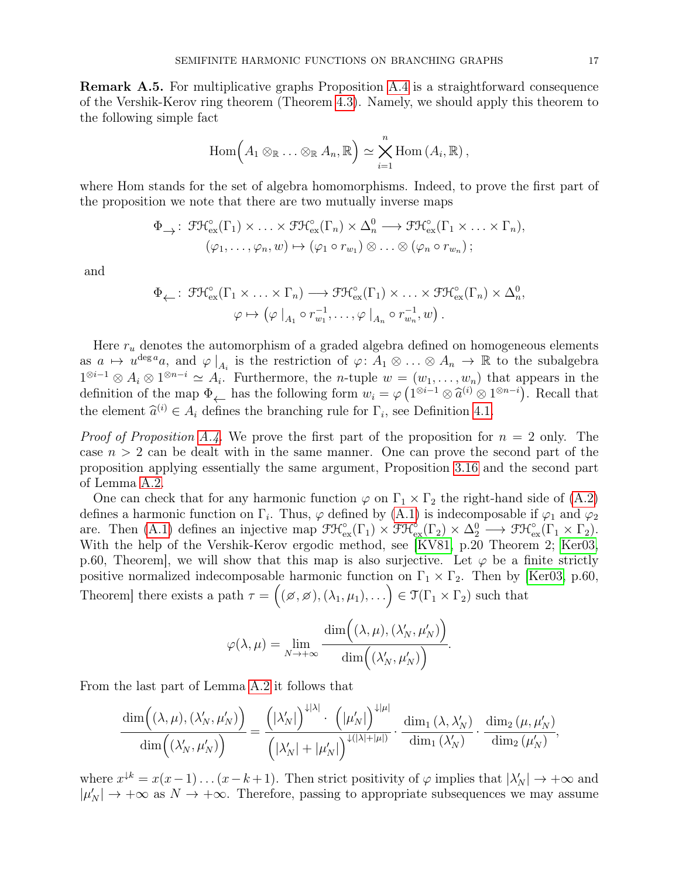Remark A.5. For multiplicative graphs Proposition [A.4](#page-15-0) is a straightforward consequence of the Vershik-Kerov ring theorem (Theorem [4.3\)](#page-8-1). Namely, we should apply this theorem to the following simple fact

$$
\mathrm{Hom}\Big(A_1\otimes_{\mathbb{R}}\ldots\otimes_{\mathbb{R}}A_n,\mathbb{R}\Big)\simeq\bigtimes_{i=1}^n\mathrm{Hom}\,(A_i,\mathbb{R})\,,
$$

where Hom stands for the set of algebra homomorphisms. Indeed, to prove the first part of the proposition we note that there are two mutually inverse maps

$$
\Phi_{\longrightarrow} : \mathfrak{F}\mathfrak{K}_{\text{ex}}^{\circ}(\Gamma_1) \times \ldots \times \mathfrak{F}\mathfrak{K}_{\text{ex}}^{\circ}(\Gamma_n) \times \Delta_n^0 \longrightarrow \mathfrak{F}\mathfrak{K}_{\text{ex}}^{\circ}(\Gamma_1 \times \ldots \times \Gamma_n),
$$
  

$$
(\varphi_1, \ldots, \varphi_n, w) \mapsto (\varphi_1 \circ r_{w_1}) \otimes \ldots \otimes (\varphi_n \circ r_{w_n});
$$

and

$$
\Phi_{\leftarrow}: \mathfrak{F}\mathfrak{K}_{\text{ex}}^{\circ}(\Gamma_1 \times \ldots \times \Gamma_n) \longrightarrow \mathfrak{F}\mathfrak{K}_{\text{ex}}^{\circ}(\Gamma_1) \times \ldots \times \mathfrak{F}\mathfrak{K}_{\text{ex}}^{\circ}(\Gamma_n) \times \Delta_n^0,
$$
  

$$
\varphi \mapsto (\varphi \mid_{A_1} \circ r_{w_1}^{-1}, \ldots, \varphi \mid_{A_n} \circ r_{w_n}^{-1}, w).
$$

Here  $r_u$  denotes the automorphism of a graded algebra defined on homogeneous elements as  $a \mapsto u^{\deg a}a$ , and  $\varphi|_{A_i}$  is the restriction of  $\varphi: A_1 \otimes \ldots \otimes A_n \to \mathbb{R}$  to the subalgebra  $1^{\otimes i-1} \otimes A_i \otimes 1^{\otimes n-i} \simeq A_i$ . Furthermore, the *n*-tuple  $w = (w_1, \ldots, w_n)$  that appears in the definition of the map  $\Phi_{\leftarrow}$  has the following form  $w_i = \varphi\left(1^{\otimes i-1} \otimes \hat{a}^{(i)} \otimes 1^{\otimes n-i}\right)$ . Recall that the element  $\hat{a}^{(i)} \in A_i$  defines the branching rule for  $\Gamma_i$ , see Definition [4.1.](#page-8-2)

*Proof of Proposition [A.4.](#page-15-0)* We prove the first part of the proposition for  $n = 2$  only. The case  $n > 2$  can be dealt with in the same manner. One can prove the second part of the proposition applying essentially the same argument, Proposition [3.16](#page-7-1) and the second part of Lemma [A.2.](#page-14-0)

One can check that for any harmonic function  $\varphi$  on  $\Gamma_1 \times \Gamma_2$  the right-hand side of [\(A.2\)](#page-15-1) defines a harmonic function on  $\Gamma_i$ . Thus,  $\varphi$  defined by [\(A.1\)](#page-15-3) is indecomposable if  $\varphi_1$  and  $\varphi_2$ are. Then [\(A.1\)](#page-15-3) defines an injective map  $\mathfrak{F}\mathfrak{K}_{\mathrm{ex}}^{\circ}(\Gamma_1) \times \mathfrak{F}\mathfrak{K}_{\mathrm{ex}}^{\circ}(\Gamma_2) \times \Delta_2^0 \longrightarrow \mathfrak{F}\mathfrak{K}_{\mathrm{ex}}^{\circ}(\Gamma_1 \times \Gamma_2)$ . With the help of the Vershik-Kerov ergodic method, see [\[KV81,](#page-17-1) p.20 Theorem 2; [Ker03,](#page-17-6) p.60, Theorem, we will show that this map is also surjective. Let  $\varphi$  be a finite strictly positive normalized indecomposable harmonic function on  $\Gamma_1 \times \Gamma_2$ . Then by [\[Ker03,](#page-17-6) p.60, Theorem] there exists a path  $\tau = ((\emptyset, \emptyset), (\lambda_1, \mu_1), \ldots) \in \mathfrak{T}(\Gamma_1 \times \Gamma_2)$  such that

$$
\varphi(\lambda,\mu) = \lim_{N \to +\infty} \frac{\dim((\lambda,\mu),(\lambda'_N,\mu'_N))}{\dim((\lambda'_N,\mu'_N))}.
$$

From the last part of Lemma [A.2](#page-14-0) it follows that

$$
\frac{\dim((\lambda,\mu),(\lambda'_N,\mu'_N))}{\dim((\lambda'_N,\mu'_N))} = \frac{(|\lambda'_N|)^{1|\lambda|} \cdot (|\mu'_N|)^{1|\mu|}}{(|\lambda'_N| + |\mu'_N|)^{1(|\lambda| + |\mu|)} \cdot \frac{\dim_1(\lambda,\lambda'_N)}{\dim_1(\lambda'_N)} \cdot \frac{\dim_2(\mu,\mu'_N)}{\dim_2(\mu'_N)},
$$

where  $x^{k} = x(x-1)...(x-k+1)$ . Then strict positivity of  $\varphi$  implies that  $|\lambda'_N| \to +\infty$  and  $|\mu'_{N}| \rightarrow +\infty$  as  $N \rightarrow +\infty$ . Therefore, passing to appropriate subsequences we may assume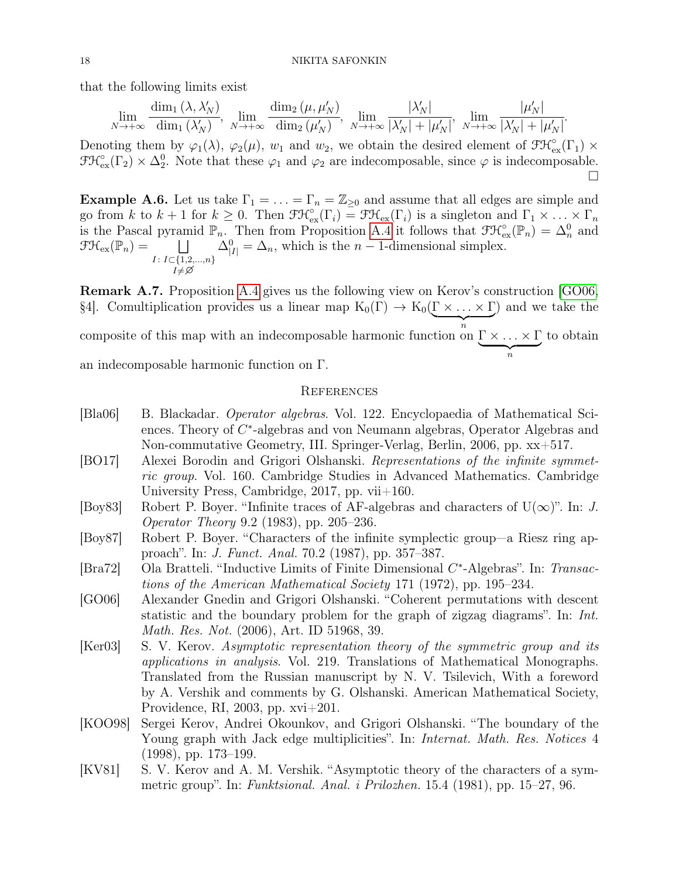that the following limits exist

$$
\lim_{N \to +\infty} \frac{\dim_1(\lambda, \lambda'_N)}{\dim_1(\lambda'_N)}, \lim_{N \to +\infty} \frac{\dim_2(\mu, \mu'_N)}{\dim_2(\mu'_N)}, \lim_{N \to +\infty} \frac{|\lambda'_N|}{|\lambda'_N| + |\mu'_N|}, \lim_{N \to +\infty} \frac{|\mu'_N|}{|\lambda'_N| + |\mu'_N|}.
$$

Denoting them by  $\varphi_1(\lambda)$ ,  $\varphi_2(\mu)$ ,  $w_1$  and  $w_2$ , we obtain the desired element of  $\mathfrak{F} \mathfrak{K}_{\mathrm{ex}}^{\circ}(\Gamma_1) \times$  $\mathfrak{F} \mathfrak{K}_{\mathrm{ex}}^{\circ}(\Gamma_2) \times \Delta_2^0$ . Note that these  $\varphi_1$  and  $\varphi_2$  are indecomposable, since  $\varphi$  is indecomposable.  $\Box$ 

**Example A.6.** Let us take  $\Gamma_1 = \ldots = \Gamma_n = \mathbb{Z}_{\geq 0}$  and assume that all edges are simple and go from k to  $k+1$  for  $k \geq 0$ . Then  $\mathfrak{F}\mathfrak{K}_{\mathrm{ex}}^{\circ}(\Gamma_i) = \mathfrak{F}\mathfrak{K}_{\mathrm{ex}}(\Gamma_i)$  is a singleton and  $\Gamma_1 \times \ldots \times \Gamma_n$ is the Pascal pyramid  $\mathbb{P}_n$ . Then from Proposition [A.4](#page-15-0) it follows that  $\mathfrak{F}\mathcal{H}_{\mathrm{ex}}^{\circ}(\mathbb{P}_n) = \Delta_n^0$  and  $\mathfrak{F}\mathfrak{K}_{\mathrm{ex}}(\mathbb{P}_n) = \square$  $I: I \subset \{1,2,...,n\}$  $I \neq \varnothing$  $\Delta_{|I|}^0 = \Delta_n$ , which is the *n* – 1-dimensional simplex.

Remark A.7. Proposition [A.4](#page-15-0) gives us the following view on Kerov's construction [\[GO06,](#page-17-7) §4]. Comultiplication provides us a linear map  $K_0(\Gamma) \to K_0(\Gamma \times \ldots \times \Gamma)$  $\overbrace{n}$ composite of this map with an indecomposable harmonic function on  $\Gamma \times \ldots \times \Gamma$ ) and we take the  $\overbrace{n}$ to obtain an indecomposable harmonic function on Γ.

### <span id="page-17-0"></span>**REFERENCES**

<span id="page-17-9"></span><span id="page-17-8"></span><span id="page-17-7"></span><span id="page-17-6"></span><span id="page-17-5"></span><span id="page-17-4"></span><span id="page-17-3"></span><span id="page-17-2"></span><span id="page-17-1"></span>

| [Bla06]                     | B. Blackadar. Operator algebras. Vol. 122. Encyclopaedia of Mathematical Sci-<br>ences. Theory of $C^*$ -algebras and von Neumann algebras, Operator Algebras and |
|-----------------------------|-------------------------------------------------------------------------------------------------------------------------------------------------------------------|
|                             | Non-commutative Geometry, III. Springer-Verlag, Berlin, 2006, pp. xx+517.                                                                                         |
| [BO17]                      | Alexei Borodin and Grigori Olshanski. Representations of the infinite symmet-                                                                                     |
|                             | ric group. Vol. 160. Cambridge Studies in Advanced Mathematics. Cambridge                                                                                         |
|                             | University Press, Cambridge, 2017, pp. $vii+160$ .                                                                                                                |
| [Boy83]                     | Robert P. Boyer. "Infinite traces of AF-algebras and characters of $U(\infty)$ ". In: J.                                                                          |
|                             | <i>Operator Theory</i> 9.2 (1983), pp. 205–236.                                                                                                                   |
| [Boy87]                     | Robert P. Boyer. "Characters of the infinite symplectic group—a Riesz ring ap-                                                                                    |
|                             | proach". In: <i>J. Funct. Anal.</i> 70.2 (1987), pp. 357–387.                                                                                                     |
| $\left[\text{Bra}72\right]$ | Ola Bratteli. "Inductive Limits of Finite Dimensional $C^*$ -Algebras". In: Transac-                                                                              |
|                             | tions of the American Mathematical Society 171 (1972), pp. 195–234.                                                                                               |
| [GO06]                      | Alexander Gnedin and Grigori Olshanski. "Coherent permutations with descent                                                                                       |
|                             | statistic and the boundary problem for the graph of zigzag diagrams". In: Int.                                                                                    |
|                             | Math. Res. Not. (2006), Art. ID 51968, 39.                                                                                                                        |
| [Ker03]                     | S. V. Kerov. Asymptotic representation theory of the symmetric group and its                                                                                      |
|                             | <i>applications in analysis.</i> Vol. 219. Translations of Mathematical Monographs.                                                                               |
|                             | Translated from the Russian manuscript by N. V. Tsilevich, With a foreword                                                                                        |
|                             | by A. Vershik and comments by G. Olshanski. American Mathematical Society,                                                                                        |
|                             | Providence, RI, 2003, pp. $xvi+201$ .                                                                                                                             |
| [KOO98]                     | Sergei Kerov, Andrei Okounkov, and Grigori Olshanski. "The boundary of the                                                                                        |
|                             | Young graph with Jack edge multiplicities". In: <i>Internat. Math. Res. Notices</i> 4                                                                             |
|                             | $(1998)$ , pp. 173–199.                                                                                                                                           |
| [KV81]                      | S. V. Kerov and A. M. Vershik. "Asymptotic theory of the characters of a sym-                                                                                     |
|                             | metric group". In: Funktsional. Anal. i Prilozhen. 15.4 (1981), pp. $15-27$ , 96.                                                                                 |